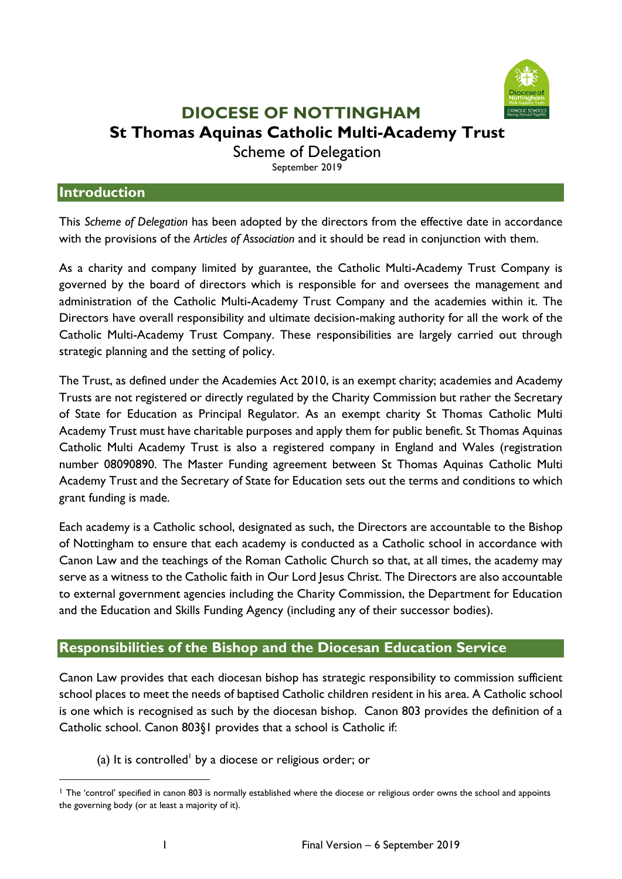

## **DIOCESE OF NOTTINGHAM St Thomas Aquinas Catholic Multi-Academy Trust**

Scheme of Delegation

September 2019

#### **Introduction**

This *Scheme of Delegation* has been adopted by the directors from the effective date in accordance with the provisions of the *Articles of Association* and it should be read in conjunction with them.

As a charity and company limited by guarantee, the Catholic Multi-Academy Trust Company is governed by the board of directors which is responsible for and oversees the management and administration of the Catholic Multi-Academy Trust Company and the academies within it. The Directors have overall responsibility and ultimate decision-making authority for all the work of the Catholic Multi-Academy Trust Company. These responsibilities are largely carried out through strategic planning and the setting of policy.

The Trust, as defined under the Academies Act 2010, is an exempt charity; academies and Academy Trusts are not registered or directly regulated by the Charity Commission but rather the Secretary of State for Education as Principal Regulator. As an exempt charity St Thomas Catholic Multi Academy Trust must have charitable purposes and apply them for public benefit. St Thomas Aquinas Catholic Multi Academy Trust is also a registered company in England and Wales (registration number 08090890. The Master Funding agreement between St Thomas Aquinas Catholic Multi Academy Trust and the Secretary of State for Education sets out the terms and conditions to which grant funding is made.

Each academy is a Catholic school, designated as such, the Directors are accountable to the Bishop of Nottingham to ensure that each academy is conducted as a Catholic school in accordance with Canon Law and the teachings of the Roman Catholic Church so that, at all times, the academy may serve as a witness to the Catholic faith in Our Lord Jesus Christ. The Directors are also accountable to external government agencies including the Charity Commission, the Department for Education and the Education and Skills Funding Agency (including any of their successor bodies).

#### **Responsibilities of the Bishop and the Diocesan Education Service**

Canon Law provides that each diocesan bishop has strategic responsibility to commission sufficient school places to meet the needs of baptised Catholic children resident in his area. A Catholic school is one which is recognised as such by the diocesan bishop. Canon 803 provides the definition of a Catholic school. Canon 803§1 provides that a school is Catholic if:

(a) It is controlled<sup>1</sup> by a diocese or religious order; or

<sup>&</sup>lt;sup>1</sup> The 'control' specified in canon 803 is normally established where the diocese or religious order owns the school and appoints the governing body (or at least a majority of it).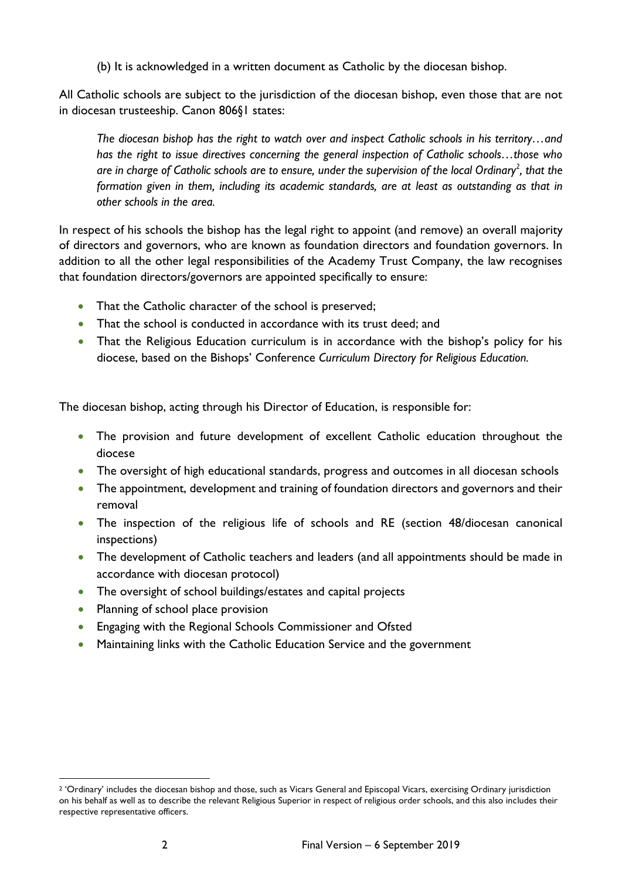(b) It is acknowledged in a written document as Catholic by the diocesan bishop.

All Catholic schools are subject to the jurisdiction of the diocesan bishop, even those that are not in diocesan trusteeship. Canon 806§1 states:

*The diocesan bishop has the right to watch over and inspect Catholic schools in his territory…and has the right to issue directives concerning the general inspection of Catholic schools…those who are in charge of Catholic schools are to ensure, under the supervision of the local Ordinary<sup>2</sup> , that the formation given in them, including its academic standards, are at least as outstanding as that in other schools in the area.* 

In respect of his schools the bishop has the legal right to appoint (and remove) an overall majority of directors and governors, who are known as foundation directors and foundation governors. In addition to all the other legal responsibilities of the Academy Trust Company, the law recognises that foundation directors/governors are appointed specifically to ensure:

- That the Catholic character of the school is preserved;
- That the school is conducted in accordance with its trust deed; and
- That the Religious Education curriculum is in accordance with the bishop's policy for his diocese, based on the Bishops' Conference *Curriculum Directory for Religious Education.*

The diocesan bishop, acting through his Director of Education, is responsible for:

- The provision and future development of excellent Catholic education throughout the diocese
- The oversight of high educational standards, progress and outcomes in all diocesan schools
- The appointment, development and training of foundation directors and governors and their removal
- The inspection of the religious life of schools and RE (section 48/diocesan canonical inspections)
- The development of Catholic teachers and leaders (and all appointments should be made in accordance with diocesan protocol)
- The oversight of school buildings/estates and capital projects
- Planning of school place provision
- Engaging with the Regional Schools Commissioner and Ofsted
- Maintaining links with the Catholic Education Service and the government

<sup>&</sup>lt;sup>2</sup> 'Ordinary' includes the diocesan bishop and those, such as Vicars General and Episcopal Vicars, exercising Ordinary jurisdiction on his behalf as well as to describe the relevant Religious Superior in respect of religious order schools, and this also includes their respective representative officers.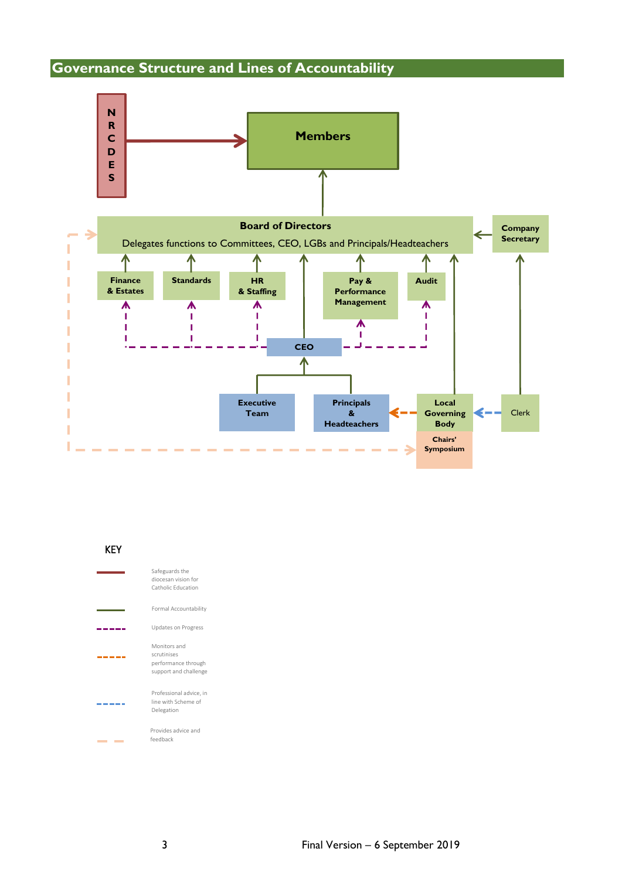### **Governance Structure and Lines of Accountability**



| KFY |                                                                             |
|-----|-----------------------------------------------------------------------------|
|     | Safeguards the<br>diocesan vision for<br>Catholic Education                 |
|     | Formal Accountability                                                       |
|     | <b>Updates on Progress</b>                                                  |
|     | Monitors and<br>scrutinises<br>performance through<br>support and challenge |
|     | Professional advice, in<br>line with Scheme of<br>Delegation                |
|     | Provides advice and<br>feedback                                             |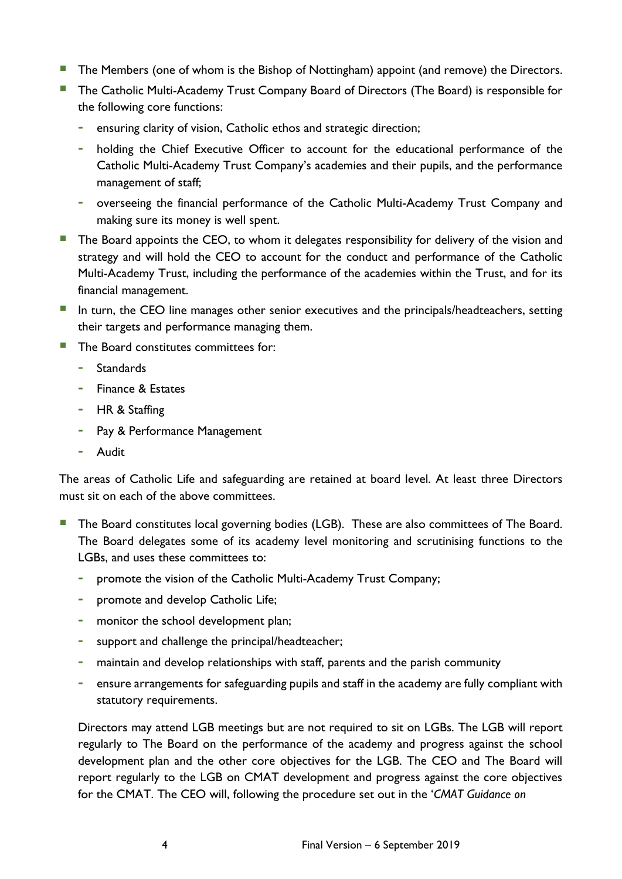- The Members (one of whom is the Bishop of Nottingham) appoint (and remove) the Directors.
- **The Catholic Multi-Academy Trust Company Board of Directors (The Board) is responsible for** the following core functions:
	- **-** ensuring clarity of vision, Catholic ethos and strategic direction;
	- **-** holding the Chief Executive Officer to account for the educational performance of the Catholic Multi-Academy Trust Company's academies and their pupils, and the performance management of staff;
	- **-** overseeing the financial performance of the Catholic Multi-Academy Trust Company and making sure its money is well spent.
- **The Board appoints the CEO, to whom it delegates responsibility for delivery of the vision and** strategy and will hold the CEO to account for the conduct and performance of the Catholic Multi-Academy Trust, including the performance of the academies within the Trust, and for its financial management.
- **IF** In turn, the CEO line manages other senior executives and the principals/headteachers, setting their targets and performance managing them.
- The Board constitutes committees for:
	- **-** Standards
	- **-** Finance & Estates
	- **-** HR & Staffing
	- **-** Pay & Performance Management
	- **-** Audit

The areas of Catholic Life and safeguarding are retained at board level. At least three Directors must sit on each of the above committees.

- **The Board constitutes local governing bodies (LGB). These are also committees of The Board.** The Board delegates some of its academy level monitoring and scrutinising functions to the LGBs, and uses these committees to:
	- **-** promote the vision of the Catholic Multi-Academy Trust Company;
	- **-** promote and develop Catholic Life;
	- **-** monitor the school development plan;
	- **-** support and challenge the principal/headteacher;
	- **-** maintain and develop relationships with staff, parents and the parish community
	- **-** ensure arrangements for safeguarding pupils and staff in the academy are fully compliant with statutory requirements.

Directors may attend LGB meetings but are not required to sit on LGBs. The LGB will report regularly to The Board on the performance of the academy and progress against the school development plan and the other core objectives for the LGB. The CEO and The Board will report regularly to the LGB on CMAT development and progress against the core objectives for the CMAT. The CEO will, following the procedure set out in the '*CMAT Guidance on*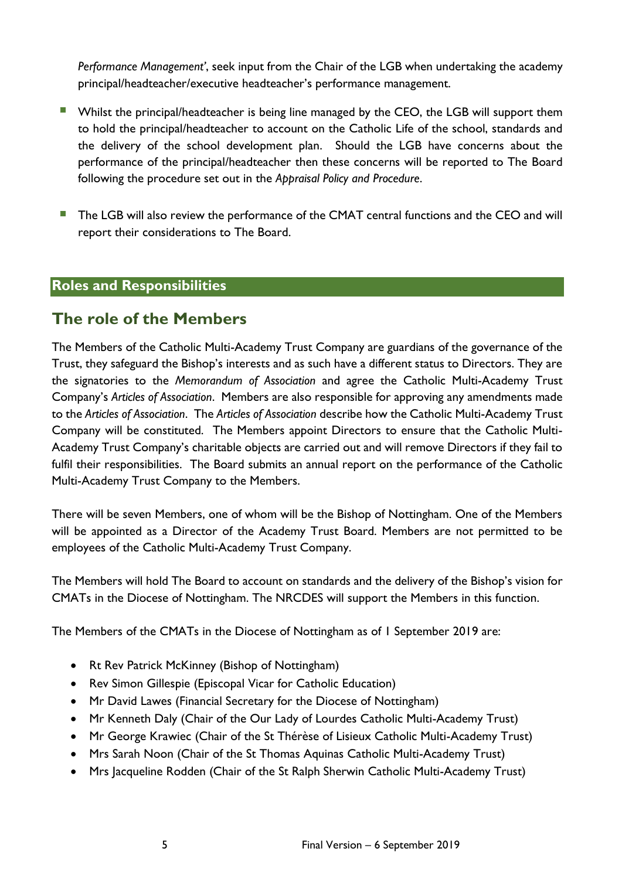*Performance Management'*, seek input from the Chair of the LGB when undertaking the academy principal/headteacher/executive headteacher's performance management.

- **E** Whilst the principal/headteacher is being line managed by the CEO, the LGB will support them to hold the principal/headteacher to account on the Catholic Life of the school, standards and the delivery of the school development plan. Should the LGB have concerns about the performance of the principal/headteacher then these concerns will be reported to The Board following the procedure set out in the *Appraisal Policy and Procedure*.
- The LGB will also review the performance of the CMAT central functions and the CEO and will report their considerations to The Board.

#### **Roles and Responsibilities**

### **The role of the Members**

The Members of the Catholic Multi-Academy Trust Company are guardians of the governance of the Trust, they safeguard the Bishop's interests and as such have a different status to Directors. They are the signatories to the *Memorandum of Association* and agree the Catholic Multi-Academy Trust Company's *Articles of Association*. Members are also responsible for approving any amendments made to the *Articles of Association*. The *Articles of Association* describe how the Catholic Multi-Academy Trust Company will be constituted. The Members appoint Directors to ensure that the Catholic Multi-Academy Trust Company's charitable objects are carried out and will remove Directors if they fail to fulfil their responsibilities. The Board submits an annual report on the performance of the Catholic Multi-Academy Trust Company to the Members.

There will be seven Members, one of whom will be the Bishop of Nottingham. One of the Members will be appointed as a Director of the Academy Trust Board. Members are not permitted to be employees of the Catholic Multi-Academy Trust Company.

The Members will hold The Board to account on standards and the delivery of the Bishop's vision for CMATs in the Diocese of Nottingham. The NRCDES will support the Members in this function.

The Members of the CMATs in the Diocese of Nottingham as of 1 September 2019 are:

- Rt Rev Patrick McKinney (Bishop of Nottingham)
- Rev Simon Gillespie (Episcopal Vicar for Catholic Education)
- Mr David Lawes (Financial Secretary for the Diocese of Nottingham)
- Mr Kenneth Daly (Chair of the Our Lady of Lourdes Catholic Multi-Academy Trust)
- Mr George Krawiec (Chair of the St Thérèse of Lisieux Catholic Multi-Academy Trust)
- Mrs Sarah Noon (Chair of the St Thomas Aquinas Catholic Multi-Academy Trust)
- Mrs Jacqueline Rodden (Chair of the St Ralph Sherwin Catholic Multi-Academy Trust)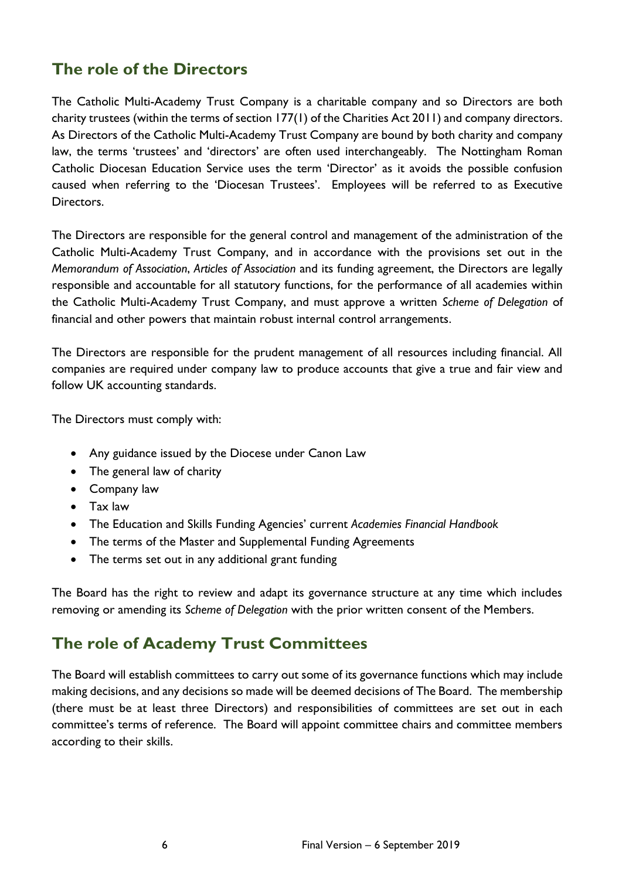## **The role of the Directors**

The Catholic Multi-Academy Trust Company is a charitable company and so Directors are both charity trustees (within the terms of section 177(1) of the Charities Act 2011) and company directors. As Directors of the Catholic Multi-Academy Trust Company are bound by both charity and company law, the terms 'trustees' and 'directors' are often used interchangeably. The Nottingham Roman Catholic Diocesan Education Service uses the term 'Director' as it avoids the possible confusion caused when referring to the 'Diocesan Trustees'. Employees will be referred to as Executive Directors.

The Directors are responsible for the general control and management of the administration of the Catholic Multi-Academy Trust Company, and in accordance with the provisions set out in the *Memorandum of Association*, *Articles of Association* and its funding agreement, the Directors are legally responsible and accountable for all statutory functions, for the performance of all academies within the Catholic Multi-Academy Trust Company, and must approve a written *Scheme of Delegation* of financial and other powers that maintain robust internal control arrangements.

The Directors are responsible for the prudent management of all resources including financial. All companies are required under company law to produce accounts that give a true and fair view and follow UK accounting standards.

The Directors must comply with:

- Any guidance issued by the Diocese under Canon Law
- The general law of charity
- Company law
- Tax law
- The Education and Skills Funding Agencies' current *Academies Financial Handbook*
- The terms of the Master and Supplemental Funding Agreements
- The terms set out in any additional grant funding

The Board has the right to review and adapt its governance structure at any time which includes removing or amending its *Scheme of Delegation* with the prior written consent of the Members.

### **The role of Academy Trust Committees**

The Board will establish committees to carry out some of its governance functions which may include making decisions, and any decisions so made will be deemed decisions of The Board. The membership (there must be at least three Directors) and responsibilities of committees are set out in each committee's terms of reference. The Board will appoint committee chairs and committee members according to their skills.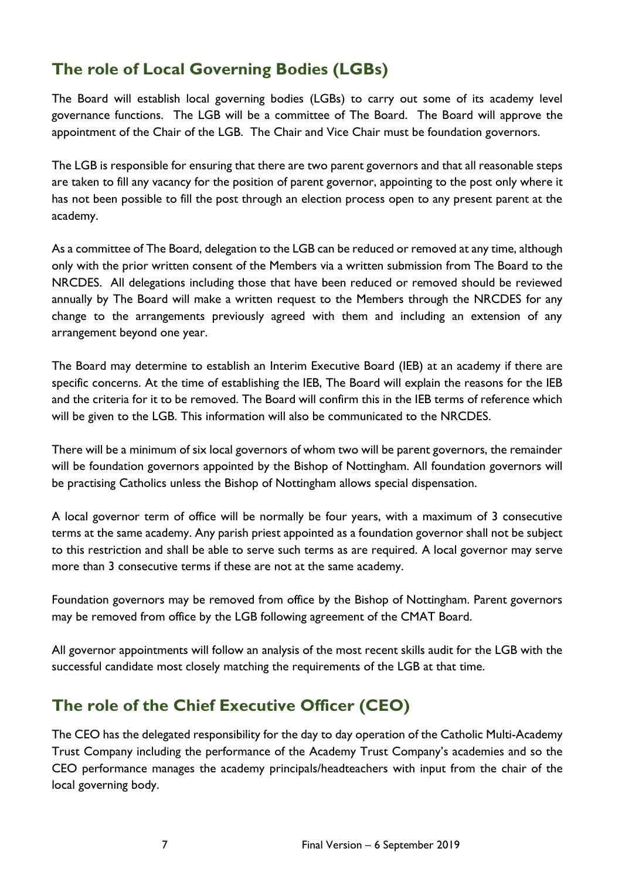# **The role of Local Governing Bodies (LGBs)**

The Board will establish local governing bodies (LGBs) to carry out some of its academy level governance functions. The LGB will be a committee of The Board. The Board will approve the appointment of the Chair of the LGB. The Chair and Vice Chair must be foundation governors.

The LGB is responsible for ensuring that there are two parent governors and that all reasonable steps are taken to fill any vacancy for the position of parent governor, appointing to the post only where it has not been possible to fill the post through an election process open to any present parent at the academy.

As a committee of The Board, delegation to the LGB can be reduced or removed at any time, although only with the prior written consent of the Members via a written submission from The Board to the NRCDES. All delegations including those that have been reduced or removed should be reviewed annually by The Board will make a written request to the Members through the NRCDES for any change to the arrangements previously agreed with them and including an extension of any arrangement beyond one year.

The Board may determine to establish an Interim Executive Board (IEB) at an academy if there are specific concerns. At the time of establishing the IEB, The Board will explain the reasons for the IEB and the criteria for it to be removed. The Board will confirm this in the IEB terms of reference which will be given to the LGB. This information will also be communicated to the NRCDES.

There will be a minimum of six local governors of whom two will be parent governors, the remainder will be foundation governors appointed by the Bishop of Nottingham. All foundation governors will be practising Catholics unless the Bishop of Nottingham allows special dispensation.

A local governor term of office will be normally be four years, with a maximum of 3 consecutive terms at the same academy. Any parish priest appointed as a foundation governor shall not be subject to this restriction and shall be able to serve such terms as are required. A local governor may serve more than 3 consecutive terms if these are not at the same academy.

Foundation governors may be removed from office by the Bishop of Nottingham. Parent governors may be removed from office by the LGB following agreement of the CMAT Board.

All governor appointments will follow an analysis of the most recent skills audit for the LGB with the successful candidate most closely matching the requirements of the LGB at that time.

## **The role of the Chief Executive Officer (CEO)**

The CEO has the delegated responsibility for the day to day operation of the Catholic Multi-Academy Trust Company including the performance of the Academy Trust Company's academies and so the CEO performance manages the academy principals/headteachers with input from the chair of the local governing body.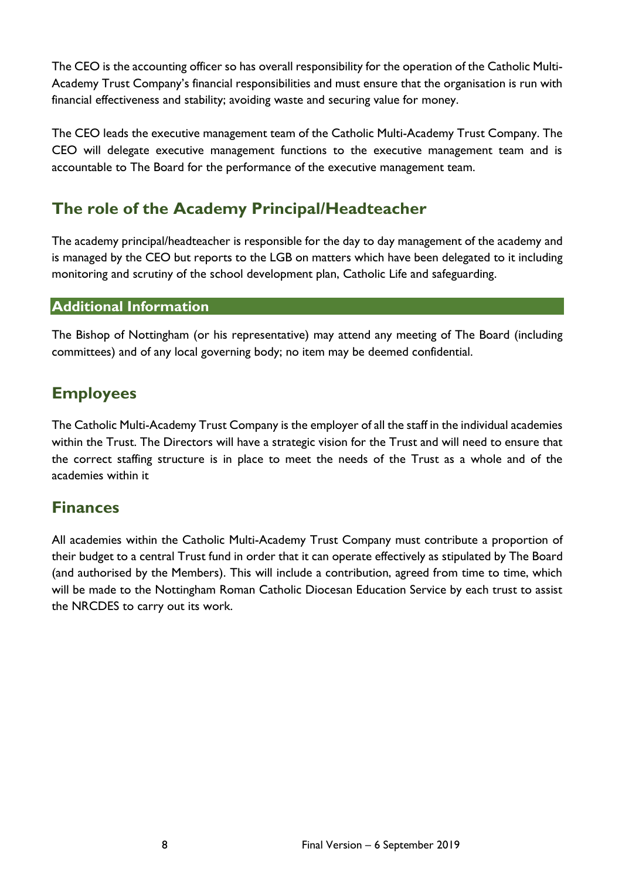The CEO is the accounting officer so has overall responsibility for the operation of the Catholic Multi-Academy Trust Company's financial responsibilities and must ensure that the organisation is run with financial effectiveness and stability; avoiding waste and securing value for money.

The CEO leads the executive management team of the Catholic Multi-Academy Trust Company. The CEO will delegate executive management functions to the executive management team and is accountable to The Board for the performance of the executive management team.

## **The role of the Academy Principal/Headteacher**

The academy principal/headteacher is responsible for the day to day management of the academy and is managed by the CEO but reports to the LGB on matters which have been delegated to it including monitoring and scrutiny of the school development plan, Catholic Life and safeguarding.

#### **Additional Information**

The Bishop of Nottingham (or his representative) may attend any meeting of The Board (including committees) and of any local governing body; no item may be deemed confidential.

## **Employees**

The Catholic Multi-Academy Trust Company is the employer of all the staff in the individual academies within the Trust. The Directors will have a strategic vision for the Trust and will need to ensure that the correct staffing structure is in place to meet the needs of the Trust as a whole and of the academies within it

### **Finances**

All academies within the Catholic Multi-Academy Trust Company must contribute a proportion of their budget to a central Trust fund in order that it can operate effectively as stipulated by The Board (and authorised by the Members). This will include a contribution, agreed from time to time, which will be made to the Nottingham Roman Catholic Diocesan Education Service by each trust to assist the NRCDES to carry out its work.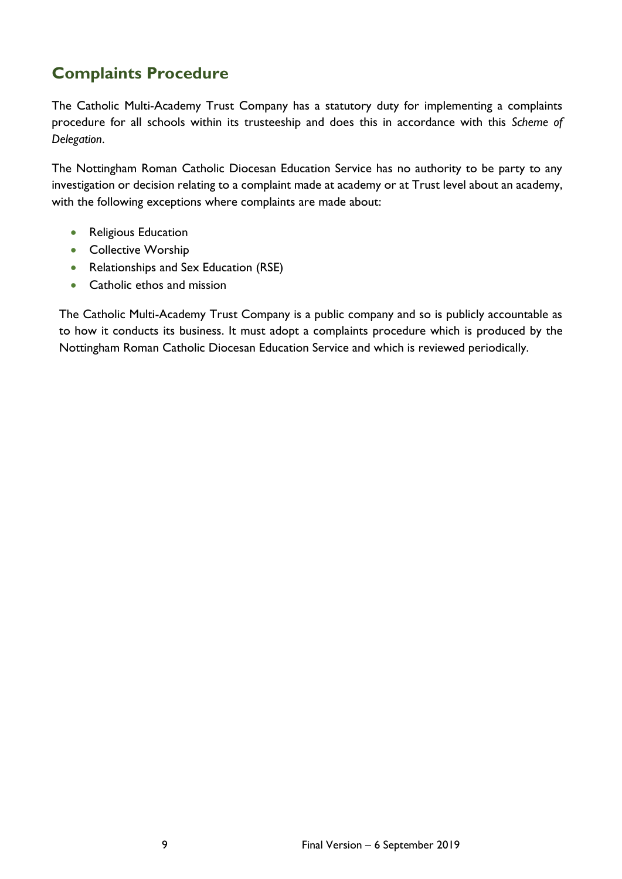# **Complaints Procedure**

The Catholic Multi-Academy Trust Company has a statutory duty for implementing a complaints procedure for all schools within its trusteeship and does this in accordance with this *Scheme of Delegation*.

The Nottingham Roman Catholic Diocesan Education Service has no authority to be party to any investigation or decision relating to a complaint made at academy or at Trust level about an academy, with the following exceptions where complaints are made about:

- Religious Education
- Collective Worship
- Relationships and Sex Education (RSE)
- Catholic ethos and mission

The Catholic Multi-Academy Trust Company is a public company and so is publicly accountable as to how it conducts its business. It must adopt a complaints procedure which is produced by the Nottingham Roman Catholic Diocesan Education Service and which is reviewed periodically.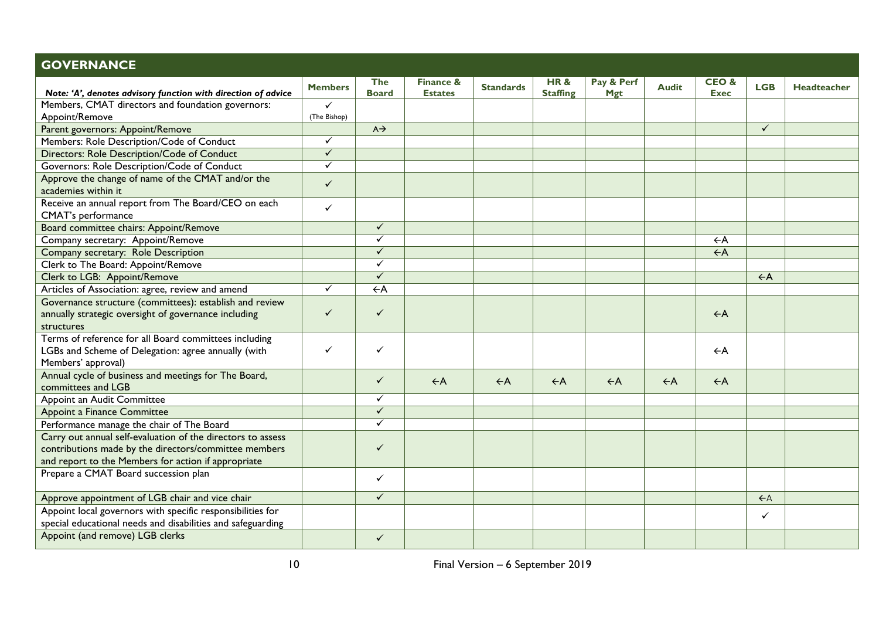| <b>GOVERNANCE</b>                                                                                                                                                           |                |                     |                                        |                  |                        |                          |                |                                |                |                    |
|-----------------------------------------------------------------------------------------------------------------------------------------------------------------------------|----------------|---------------------|----------------------------------------|------------------|------------------------|--------------------------|----------------|--------------------------------|----------------|--------------------|
| Note: 'A', denotes advisory function with direction of advice                                                                                                               | <b>Members</b> | The<br><b>Board</b> | <b>Finance &amp;</b><br><b>Estates</b> | <b>Standards</b> | HR&<br><b>Staffing</b> | Pay & Perf<br><b>Mgt</b> | <b>Audit</b>   | <b>CEO&amp;</b><br><b>Exec</b> | <b>LGB</b>     | <b>Headteacher</b> |
| Members, CMAT directors and foundation governors:                                                                                                                           | $\checkmark$   |                     |                                        |                  |                        |                          |                |                                |                |                    |
| Appoint/Remove                                                                                                                                                              | (The Bishop)   |                     |                                        |                  |                        |                          |                |                                |                |                    |
| Parent governors: Appoint/Remove                                                                                                                                            |                | $A \rightarrow$     |                                        |                  |                        |                          |                |                                | $\checkmark$   |                    |
| Members: Role Description/Code of Conduct                                                                                                                                   | $\checkmark$   |                     |                                        |                  |                        |                          |                |                                |                |                    |
| Directors: Role Description/Code of Conduct                                                                                                                                 | $\checkmark$   |                     |                                        |                  |                        |                          |                |                                |                |                    |
| Governors: Role Description/Code of Conduct                                                                                                                                 | $\checkmark$   |                     |                                        |                  |                        |                          |                |                                |                |                    |
| Approve the change of name of the CMAT and/or the<br>academies within it                                                                                                    | $\checkmark$   |                     |                                        |                  |                        |                          |                |                                |                |                    |
| Receive an annual report from The Board/CEO on each<br>CMAT's performance                                                                                                   | $\checkmark$   |                     |                                        |                  |                        |                          |                |                                |                |                    |
| Board committee chairs: Appoint/Remove                                                                                                                                      |                | $\checkmark$        |                                        |                  |                        |                          |                |                                |                |                    |
| Company secretary: Appoint/Remove                                                                                                                                           |                | $\checkmark$        |                                        |                  |                        |                          |                | $\leftarrow$ A                 |                |                    |
| Company secretary: Role Description                                                                                                                                         |                | $\checkmark$        |                                        |                  |                        |                          |                | $\leftarrow$ A                 |                |                    |
| Clerk to The Board: Appoint/Remove                                                                                                                                          |                | ✓                   |                                        |                  |                        |                          |                |                                |                |                    |
| Clerk to LGB: Appoint/Remove                                                                                                                                                |                | $\checkmark$        |                                        |                  |                        |                          |                |                                | $\leftarrow$ A |                    |
| Articles of Association: agree, review and amend                                                                                                                            | ✓              | $\leftarrow$ A      |                                        |                  |                        |                          |                |                                |                |                    |
| Governance structure (committees): establish and review<br>annually strategic oversight of governance including<br>structures                                               | ✓              | ✓                   |                                        |                  |                        |                          |                | $\leftarrow$ A                 |                |                    |
| Terms of reference for all Board committees including<br>LGBs and Scheme of Delegation: agree annually (with<br>Members' approval)                                          | $\checkmark$   | $\checkmark$        |                                        |                  |                        |                          |                | $\leftarrow$ A                 |                |                    |
| Annual cycle of business and meetings for The Board,<br>committees and LGB                                                                                                  |                | $\checkmark$        | $\leftarrow$ A                         | $\leftarrow$ A   | $\leftarrow$ A         | $\leftarrow$ A           | $\leftarrow$ A | $\leftarrow$ A                 |                |                    |
| Appoint an Audit Committee                                                                                                                                                  |                | ✓                   |                                        |                  |                        |                          |                |                                |                |                    |
| <b>Appoint a Finance Committee</b>                                                                                                                                          |                | $\checkmark$        |                                        |                  |                        |                          |                |                                |                |                    |
| Performance manage the chair of The Board                                                                                                                                   |                | $\checkmark$        |                                        |                  |                        |                          |                |                                |                |                    |
| Carry out annual self-evaluation of the directors to assess<br>contributions made by the directors/committee members<br>and report to the Members for action if appropriate |                | $\checkmark$        |                                        |                  |                        |                          |                |                                |                |                    |
| Prepare a CMAT Board succession plan                                                                                                                                        |                | $\checkmark$        |                                        |                  |                        |                          |                |                                |                |                    |
| Approve appointment of LGB chair and vice chair                                                                                                                             |                | $\checkmark$        |                                        |                  |                        |                          |                |                                | $\leftarrow$ A |                    |
| Appoint local governors with specific responsibilities for<br>special educational needs and disabilities and safeguarding                                                   |                |                     |                                        |                  |                        |                          |                |                                | $\checkmark$   |                    |
| Appoint (and remove) LGB clerks                                                                                                                                             |                | ✓                   |                                        |                  |                        |                          |                |                                |                |                    |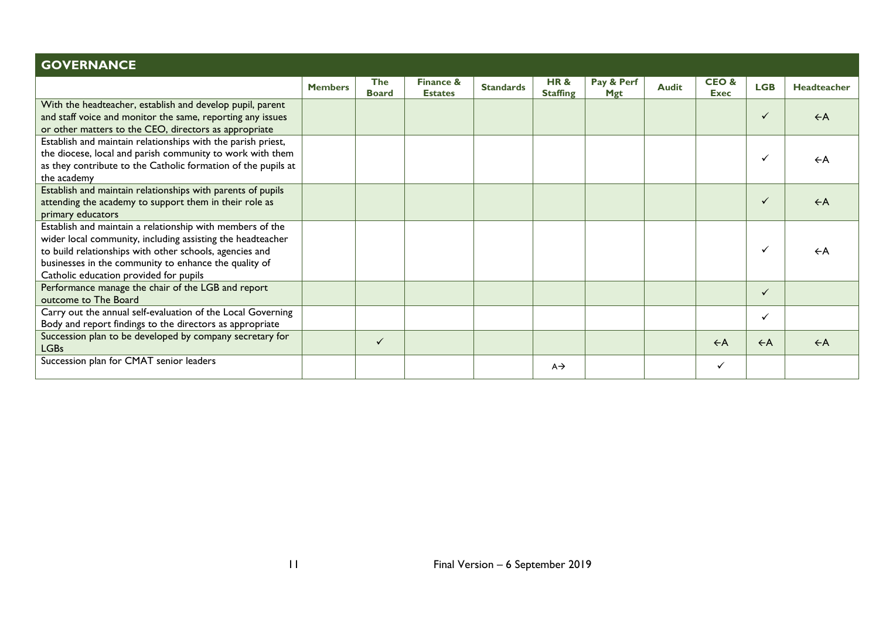| <b>GOVERNANCE</b>                                                                                                                                                                                                                                                                     |                |                            |                             |                  |                        |                   |              |                      |                |                    |
|---------------------------------------------------------------------------------------------------------------------------------------------------------------------------------------------------------------------------------------------------------------------------------------|----------------|----------------------------|-----------------------------|------------------|------------------------|-------------------|--------------|----------------------|----------------|--------------------|
|                                                                                                                                                                                                                                                                                       | <b>Members</b> | <b>The</b><br><b>Board</b> | Finance &<br><b>Estates</b> | <b>Standards</b> | HR&<br><b>Staffing</b> | Pay & Perf<br>Mgt | <b>Audit</b> | CEO &<br><b>Exec</b> | <b>LGB</b>     | <b>Headteacher</b> |
| With the headteacher, establish and develop pupil, parent<br>and staff voice and monitor the same, reporting any issues<br>or other matters to the CEO, directors as appropriate                                                                                                      |                |                            |                             |                  |                        |                   |              |                      | $\checkmark$   | $\leftarrow$ A     |
| Establish and maintain relationships with the parish priest,<br>the diocese, local and parish community to work with them<br>as they contribute to the Catholic formation of the pupils at<br>the academy                                                                             |                |                            |                             |                  |                        |                   |              |                      | ✓              | $\leftarrow$ A     |
| Establish and maintain relationships with parents of pupils<br>attending the academy to support them in their role as<br>primary educators                                                                                                                                            |                |                            |                             |                  |                        |                   |              |                      | $\checkmark$   | $\leftarrow$ A     |
| Establish and maintain a relationship with members of the<br>wider local community, including assisting the headteacher<br>to build relationships with other schools, agencies and<br>businesses in the community to enhance the quality of<br>Catholic education provided for pupils |                |                            |                             |                  |                        |                   |              |                      | ✓              | $\leftarrow$ A     |
| Performance manage the chair of the LGB and report<br>outcome to The Board                                                                                                                                                                                                            |                |                            |                             |                  |                        |                   |              |                      | $\checkmark$   |                    |
| Carry out the annual self-evaluation of the Local Governing<br>Body and report findings to the directors as appropriate                                                                                                                                                               |                |                            |                             |                  |                        |                   |              |                      | ✓              |                    |
| Succession plan to be developed by company secretary for<br>LGBs                                                                                                                                                                                                                      |                | $\checkmark$               |                             |                  |                        |                   |              | $\leftarrow$ A       | $\leftarrow$ A | $\leftarrow$ A     |
| Succession plan for CMAT senior leaders                                                                                                                                                                                                                                               |                |                            |                             |                  | $A \rightarrow$        |                   |              | ✓                    |                |                    |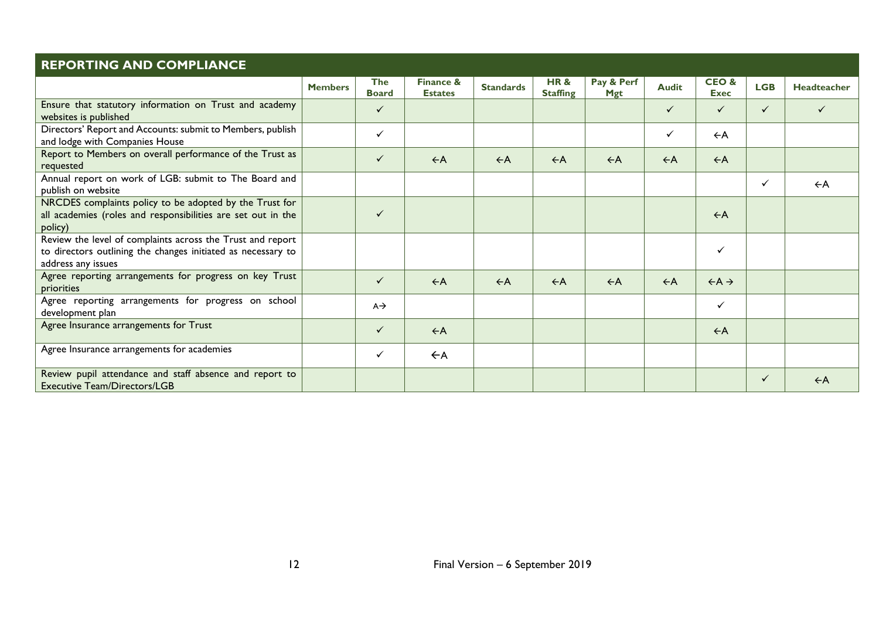| <b>REPORTING AND COMPLIANCE</b>                                                                                                                  |                |                            |                                        |                  |                        |                          |                |                            |              |                    |
|--------------------------------------------------------------------------------------------------------------------------------------------------|----------------|----------------------------|----------------------------------------|------------------|------------------------|--------------------------|----------------|----------------------------|--------------|--------------------|
|                                                                                                                                                  | <b>Members</b> | <b>The</b><br><b>Board</b> | <b>Finance &amp;</b><br><b>Estates</b> | <b>Standards</b> | HR&<br><b>Staffing</b> | Pay & Perf<br><b>Mgt</b> | <b>Audit</b>   | CEO&<br><b>Exec</b>        | <b>LGB</b>   | <b>Headteacher</b> |
| Ensure that statutory information on Trust and academy<br>websites is published                                                                  |                | ✓                          |                                        |                  |                        |                          | $\checkmark$   | $\checkmark$               | $\checkmark$ |                    |
| Directors' Report and Accounts: submit to Members, publish<br>and lodge with Companies House                                                     |                | $\checkmark$               |                                        |                  |                        |                          | $\checkmark$   | $\leftarrow$ A             |              |                    |
| Report to Members on overall performance of the Trust as<br>requested                                                                            |                | $\checkmark$               | $\leftarrow$ A                         | $\leftarrow$ A   | $\leftarrow$ A         | $\leftarrow$ A           | $\leftarrow$ A | $\leftarrow$ A             |              |                    |
| Annual report on work of LGB: submit to The Board and<br>publish on website                                                                      |                |                            |                                        |                  |                        |                          |                |                            | $\checkmark$ | $\leftarrow$ A     |
| NRCDES complaints policy to be adopted by the Trust for<br>all academies (roles and responsibilities are set out in the<br>policy)               |                | $\checkmark$               |                                        |                  |                        |                          |                | $\leftarrow$ A             |              |                    |
| Review the level of complaints across the Trust and report<br>to directors outlining the changes initiated as necessary to<br>address any issues |                |                            |                                        |                  |                        |                          |                | $\checkmark$               |              |                    |
| Agree reporting arrangements for progress on key Trust<br>priorities                                                                             |                | $\checkmark$               | $\leftarrow$ A                         | $\leftarrow$ A   | $\leftarrow$ A         | $\leftarrow$ A           | $\leftarrow$ A | $\leftarrow A \rightarrow$ |              |                    |
| Agree reporting arrangements for progress on school<br>development plan                                                                          |                | $A \rightarrow$            |                                        |                  |                        |                          |                | $\checkmark$               |              |                    |
| Agree Insurance arrangements for Trust                                                                                                           |                | $\checkmark$               | $\leftarrow$ A                         |                  |                        |                          |                | $\leftarrow$ A             |              |                    |
| Agree Insurance arrangements for academies                                                                                                       |                | $\checkmark$               | $\leftarrow$ A                         |                  |                        |                          |                |                            |              |                    |
| Review pupil attendance and staff absence and report to<br><b>Executive Team/Directors/LGB</b>                                                   |                |                            |                                        |                  |                        |                          |                |                            | ✓            | $\leftarrow$ A     |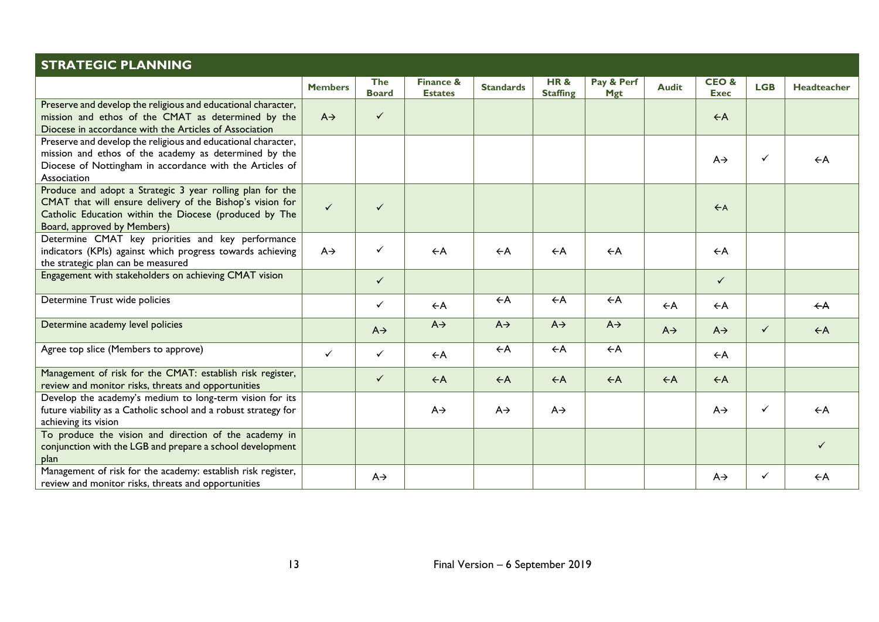| <b>STRATEGIC PLANNING</b>                                                                                                                                                                                       |                 |                            |                                        |                  |                        |                          |                 |                                |              |                |
|-----------------------------------------------------------------------------------------------------------------------------------------------------------------------------------------------------------------|-----------------|----------------------------|----------------------------------------|------------------|------------------------|--------------------------|-----------------|--------------------------------|--------------|----------------|
|                                                                                                                                                                                                                 | <b>Members</b>  | <b>The</b><br><b>Board</b> | <b>Finance &amp;</b><br><b>Estates</b> | <b>Standards</b> | HR&<br><b>Staffing</b> | Pay & Perf<br><b>Mgt</b> | <b>Audit</b>    | <b>CEO&amp;</b><br><b>Exec</b> | <b>LGB</b>   | Headteacher    |
| Preserve and develop the religious and educational character,<br>mission and ethos of the CMAT as determined by the<br>Diocese in accordance with the Articles of Association                                   | $A \rightarrow$ | $\checkmark$               |                                        |                  |                        |                          |                 | $\leftarrow$ A                 |              |                |
| Preserve and develop the religious and educational character,<br>mission and ethos of the academy as determined by the<br>Diocese of Nottingham in accordance with the Articles of<br>Association               |                 |                            |                                        |                  |                        |                          |                 | $A \rightarrow$                | $\checkmark$ | $\leftarrow$ A |
| Produce and adopt a Strategic 3 year rolling plan for the<br>CMAT that will ensure delivery of the Bishop's vision for<br>Catholic Education within the Diocese (produced by The<br>Board, approved by Members) | $\checkmark$    | $\checkmark$               |                                        |                  |                        |                          |                 | $\leftarrow$ A                 |              |                |
| Determine CMAT key priorities and key performance<br>indicators (KPIs) against which progress towards achieving<br>the strategic plan can be measured                                                           | $A \rightarrow$ | ✓                          | $\leftarrow$ A                         | $\leftarrow$ A   | $\leftarrow$ A         | $\leftarrow$ A           |                 | $\leftarrow$ A                 |              |                |
| Engagement with stakeholders on achieving CMAT vision                                                                                                                                                           |                 | $\checkmark$               |                                        |                  |                        |                          |                 | $\checkmark$                   |              |                |
| Determine Trust wide policies                                                                                                                                                                                   |                 | $\checkmark$               | $\leftarrow$ A                         | $\leftarrow$ A   | $\leftarrow$ A         | $\leftarrow$ A           | $\leftarrow$ A  | $\leftarrow$ A                 |              | $\leftarrow$ A |
| Determine academy level policies                                                                                                                                                                                |                 | $A \rightarrow$            | $A \rightarrow$                        | $A \rightarrow$  | $A \rightarrow$        | $A \rightarrow$          | $A \rightarrow$ | $A \rightarrow$                | $\checkmark$ | $\leftarrow$ A |
| Agree top slice (Members to approve)                                                                                                                                                                            | $\checkmark$    | $\checkmark$               | $\leftarrow$ A                         | $\leftarrow$ A   | $\leftarrow$ A         | $\leftarrow$ A           |                 | $\leftarrow$ A                 |              |                |
| Management of risk for the CMAT: establish risk register,<br>review and monitor risks, threats and opportunities                                                                                                |                 | $\checkmark$               | $\leftarrow$ A                         | $\leftarrow$ A   | $\leftarrow$ A         | $\leftarrow$ A           | $\leftarrow$ A  | $\leftarrow$ A                 |              |                |
| Develop the academy's medium to long-term vision for its<br>future viability as a Catholic school and a robust strategy for<br>achieving its vision                                                             |                 |                            | $A \rightarrow$                        | $A \rightarrow$  | $A \rightarrow$        |                          |                 | $A \rightarrow$                | $\checkmark$ | $\leftarrow$ A |
| To produce the vision and direction of the academy in<br>conjunction with the LGB and prepare a school development<br>plan                                                                                      |                 |                            |                                        |                  |                        |                          |                 |                                |              | ✓              |
| Management of risk for the academy: establish risk register,<br>review and monitor risks, threats and opportunities                                                                                             |                 | $A \rightarrow$            |                                        |                  |                        |                          |                 | $A \rightarrow$                | ✓            | $\leftarrow$ A |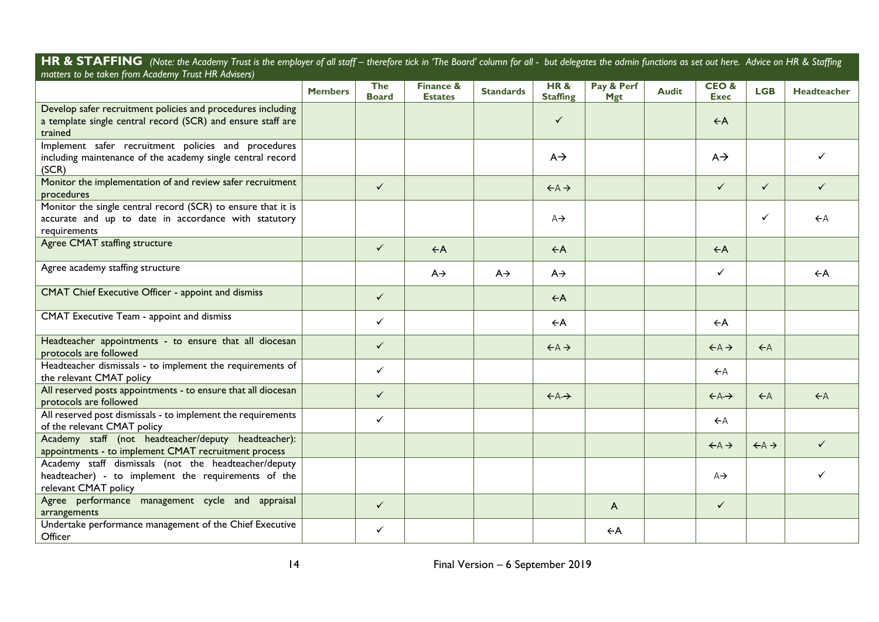HR & STAFFING (Note: the Academy Trust is the employer of all staff – therefore tick in 'The Board' column for all - but delegates the admin functions as set out here. Advice on HR & Staffing *matters to be taken from Academy Trust HR Advisers)*

|                                                                                                                                       | <b>Members</b> | The<br><b>Board</b> | Finance &<br><b>Estates</b> | <b>Standards</b> | <b>HR&amp;</b><br><b>Staffing</b> | Pay & Perf<br><b>Mgt</b> | <b>Audit</b> | CEO&<br><b>Exec</b>        | <b>LGB</b>                        | Headteacher    |
|---------------------------------------------------------------------------------------------------------------------------------------|----------------|---------------------|-----------------------------|------------------|-----------------------------------|--------------------------|--------------|----------------------------|-----------------------------------|----------------|
| Develop safer recruitment policies and procedures including<br>a template single central record (SCR) and ensure staff are<br>trained |                |                     |                             |                  | $\checkmark$                      |                          |              | $\leftarrow$ A             |                                   |                |
| Implement safer recruitment policies and procedures<br>including maintenance of the academy single central record<br>(SCR)            |                |                     |                             |                  | $A \rightarrow$                   |                          |              | $A \rightarrow$            |                                   |                |
| Monitor the implementation of and review safer recruitment<br>procedures                                                              |                | $\checkmark$        |                             |                  | $\leftrightarrow$ A $\rightarrow$ |                          |              | $\checkmark$               | $\checkmark$                      |                |
| Monitor the single central record (SCR) to ensure that it is<br>accurate and up to date in accordance with statutory<br>requirements  |                |                     |                             |                  | $A \rightarrow$                   |                          |              |                            | ✓                                 | $\leftarrow$ A |
| Agree CMAT staffing structure                                                                                                         |                | $\checkmark$        | $\leftarrow$ A              |                  | $\leftarrow$ A                    |                          |              | $\leftarrow$ A             |                                   |                |
| Agree academy staffing structure                                                                                                      |                |                     | $A \rightarrow$             | $A \rightarrow$  | $A \rightarrow$                   |                          |              | ✓                          |                                   | $\leftarrow$ A |
| CMAT Chief Executive Officer - appoint and dismiss                                                                                    |                | $\checkmark$        |                             |                  | $\leftarrow$ A                    |                          |              |                            |                                   |                |
| CMAT Executive Team - appoint and dismiss                                                                                             |                | $\checkmark$        |                             |                  | $\leftarrow$ A                    |                          |              | $\leftarrow$ A             |                                   |                |
| Headteacher appointments - to ensure that all diocesan<br>protocols are followed                                                      |                | $\checkmark$        |                             |                  | $\leftarrow A \rightarrow$        |                          |              | $\leftarrow A \rightarrow$ | $\leftarrow$ A                    |                |
| Headteacher dismissals - to implement the requirements of<br>the relevant CMAT policy                                                 |                | $\checkmark$        |                             |                  |                                   |                          |              | $\leftarrow$ A             |                                   |                |
| All reserved posts appointments - to ensure that all diocesan<br>protocols are followed                                               |                | $\checkmark$        |                             |                  | $\leftrightarrow$ A $\rightarrow$ |                          |              | $\leftrightarrow$          | $\leftarrow$ A                    | $\leftarrow$ A |
| All reserved post dismissals - to implement the requirements<br>of the relevant CMAT policy                                           |                | $\checkmark$        |                             |                  |                                   |                          |              | $\leftarrow$ A             |                                   |                |
| Academy staff (not headteacher/deputy headteacher):<br>appointments - to implement CMAT recruitment process                           |                |                     |                             |                  |                                   |                          |              | $\leftarrow A \rightarrow$ | $\leftrightarrow$ A $\rightarrow$ | $\checkmark$   |
| Academy staff dismissals (not the headteacher/deputy<br>headteacher) - to implement the requirements of the<br>relevant CMAT policy   |                |                     |                             |                  |                                   |                          |              | $A \rightarrow$            |                                   |                |
| Agree performance management cycle and appraisal<br>arrangements                                                                      |                | $\checkmark$        |                             |                  |                                   | A                        |              | $\checkmark$               |                                   |                |
| Undertake performance management of the Chief Executive<br>Officer                                                                    |                | $\checkmark$        |                             |                  |                                   | $\leftarrow$ A           |              |                            |                                   |                |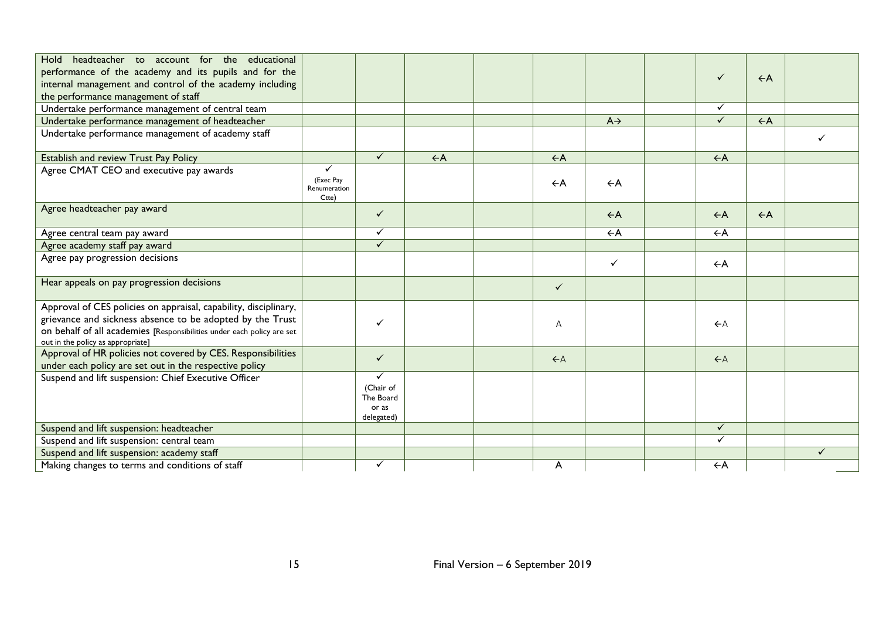| Hold headteacher to account for the educational                        |                                    |                           |                |                |                 |                |                |              |
|------------------------------------------------------------------------|------------------------------------|---------------------------|----------------|----------------|-----------------|----------------|----------------|--------------|
| performance of the academy and its pupils and for the                  |                                    |                           |                |                |                 | $\checkmark$   | $\leftarrow$ A |              |
| internal management and control of the academy including               |                                    |                           |                |                |                 |                |                |              |
| the performance management of staff                                    |                                    |                           |                |                |                 |                |                |              |
| Undertake performance management of central team                       |                                    |                           |                |                |                 | $\checkmark$   |                |              |
| Undertake performance management of headteacher                        |                                    |                           |                |                | $A \rightarrow$ | $\checkmark$   | $\leftarrow$ A |              |
| Undertake performance management of academy staff                      |                                    |                           |                |                |                 |                |                |              |
| Establish and review Trust Pay Policy                                  |                                    | $\checkmark$              | $\leftarrow$ A | $\leftarrow$ A |                 | $\leftarrow$ A |                |              |
| Agree CMAT CEO and executive pay awards                                | $\checkmark$                       |                           |                |                |                 |                |                |              |
|                                                                        | (Exec Pay<br>Renumeration<br>Ctte) |                           |                | $\leftarrow$ A | $\leftarrow$ A  |                |                |              |
| Agree headteacher pay award                                            |                                    | $\checkmark$              |                |                | $\leftarrow$ A  | $\leftarrow$ A | $\leftarrow$ A |              |
| Agree central team pay award                                           |                                    | $\checkmark$              |                |                | $\leftarrow$ A  | $\leftarrow$ A |                |              |
| Agree academy staff pay award                                          |                                    | $\checkmark$              |                |                |                 |                |                |              |
| Agree pay progression decisions                                        |                                    |                           |                |                | $\checkmark$    | $\leftarrow$ A |                |              |
| Hear appeals on pay progression decisions                              |                                    |                           |                | $\checkmark$   |                 |                |                |              |
| Approval of CES policies on appraisal, capability, disciplinary,       |                                    |                           |                |                |                 |                |                |              |
| grievance and sickness absence to be adopted by the Trust              |                                    | ✓                         |                | $\overline{A}$ |                 | $\leftarrow$ A |                |              |
| on behalf of all academies [Responsibilities under each policy are set |                                    |                           |                |                |                 |                |                |              |
| out in the policy as appropriate]                                      |                                    |                           |                |                |                 |                |                |              |
| Approval of HR policies not covered by CES. Responsibilities           |                                    | $\checkmark$              |                | $\leftarrow$ A |                 | $\leftarrow$ A |                |              |
| under each policy are set out in the respective policy                 |                                    |                           |                |                |                 |                |                |              |
| Suspend and lift suspension: Chief Executive Officer                   |                                    | $\checkmark$<br>(Chair of |                |                |                 |                |                |              |
|                                                                        |                                    | The Board                 |                |                |                 |                |                |              |
|                                                                        |                                    | or as                     |                |                |                 |                |                |              |
|                                                                        |                                    | delegated)                |                |                |                 |                |                |              |
| Suspend and lift suspension: headteacher                               |                                    |                           |                |                |                 | $\checkmark$   |                |              |
| Suspend and lift suspension: central team                              |                                    |                           |                |                |                 | $\checkmark$   |                |              |
| Suspend and lift suspension: academy staff                             |                                    |                           |                |                |                 |                |                | $\checkmark$ |
| Making changes to terms and conditions of staff                        |                                    | $\checkmark$              |                | A              |                 | $\leftarrow$ A |                |              |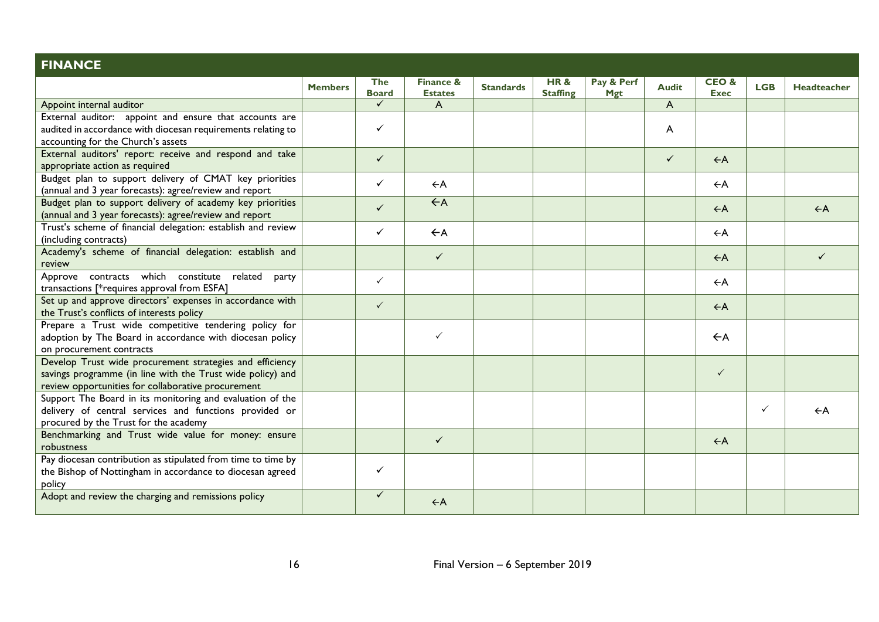| <b>FINANCE</b>                                                                       |                |                            |                                        |                  |                        |                          |                |                     |              |                |
|--------------------------------------------------------------------------------------|----------------|----------------------------|----------------------------------------|------------------|------------------------|--------------------------|----------------|---------------------|--------------|----------------|
|                                                                                      | <b>Members</b> | <b>The</b><br><b>Board</b> | <b>Finance &amp;</b><br><b>Estates</b> | <b>Standards</b> | HR&<br><b>Staffing</b> | Pay & Perf<br><b>Mgt</b> | <b>Audit</b>   | CEO&<br><b>Exec</b> | <b>LGB</b>   | Headteacher    |
| Appoint internal auditor                                                             |                | $\checkmark$               | A                                      |                  |                        |                          | A              |                     |              |                |
| External auditor: appoint and ensure that accounts are                               |                |                            |                                        |                  |                        |                          |                |                     |              |                |
| audited in accordance with diocesan requirements relating to                         |                | $\checkmark$               |                                        |                  |                        |                          | $\overline{A}$ |                     |              |                |
| accounting for the Church's assets                                                   |                |                            |                                        |                  |                        |                          |                |                     |              |                |
| External auditors' report: receive and respond and take                              |                | $\checkmark$               |                                        |                  |                        |                          | $\checkmark$   | $\leftarrow$ A      |              |                |
| appropriate action as required                                                       |                |                            |                                        |                  |                        |                          |                |                     |              |                |
| Budget plan to support delivery of CMAT key priorities                               |                | $\checkmark$               | $\leftarrow$ A                         |                  |                        |                          |                | $\leftarrow$ A      |              |                |
| (annual and 3 year forecasts): agree/review and report                               |                |                            |                                        |                  |                        |                          |                |                     |              |                |
| Budget plan to support delivery of academy key priorities                            |                | $\checkmark$               | $\leftarrow$ A                         |                  |                        |                          |                | $\leftarrow$ A      |              | $\leftarrow$ A |
| (annual and 3 year forecasts): agree/review and report                               |                |                            |                                        |                  |                        |                          |                |                     |              |                |
| Trust's scheme of financial delegation: establish and review                         |                | $\checkmark$               | $\leftarrow$ A                         |                  |                        |                          |                | $\leftarrow$ A      |              |                |
| (including contracts)                                                                |                |                            |                                        |                  |                        |                          |                |                     |              |                |
| Academy's scheme of financial delegation: establish and                              |                |                            | $\checkmark$                           |                  |                        |                          |                | $\leftarrow$ A      |              | ✓              |
| review                                                                               |                |                            |                                        |                  |                        |                          |                |                     |              |                |
| Approve contracts which constitute related<br>party                                  |                | $\checkmark$               |                                        |                  |                        |                          |                | $\leftarrow$ A      |              |                |
| transactions [*requires approval from ESFA]                                          |                |                            |                                        |                  |                        |                          |                |                     |              |                |
| Set up and approve directors' expenses in accordance with                            |                | $\checkmark$               |                                        |                  |                        |                          |                | $\leftarrow$ A      |              |                |
| the Trust's conflicts of interests policy                                            |                |                            |                                        |                  |                        |                          |                |                     |              |                |
| Prepare a Trust wide competitive tendering policy for                                |                |                            | $\checkmark$                           |                  |                        |                          |                | $\leftarrow$ A      |              |                |
| adoption by The Board in accordance with diocesan policy                             |                |                            |                                        |                  |                        |                          |                |                     |              |                |
| on procurement contracts<br>Develop Trust wide procurement strategies and efficiency |                |                            |                                        |                  |                        |                          |                |                     |              |                |
| savings programme (in line with the Trust wide policy) and                           |                |                            |                                        |                  |                        |                          |                | $\checkmark$        |              |                |
| review opportunities for collaborative procurement                                   |                |                            |                                        |                  |                        |                          |                |                     |              |                |
| Support The Board in its monitoring and evaluation of the                            |                |                            |                                        |                  |                        |                          |                |                     |              |                |
| delivery of central services and functions provided or                               |                |                            |                                        |                  |                        |                          |                |                     | $\checkmark$ | $\leftarrow$ A |
| procured by the Trust for the academy                                                |                |                            |                                        |                  |                        |                          |                |                     |              |                |
| Benchmarking and Trust wide value for money: ensure                                  |                |                            |                                        |                  |                        |                          |                |                     |              |                |
| robustness                                                                           |                |                            | $\checkmark$                           |                  |                        |                          |                | $\leftarrow$ A      |              |                |
| Pay diocesan contribution as stipulated from time to time by                         |                |                            |                                        |                  |                        |                          |                |                     |              |                |
| the Bishop of Nottingham in accordance to diocesan agreed                            |                | $\checkmark$               |                                        |                  |                        |                          |                |                     |              |                |
| policy                                                                               |                |                            |                                        |                  |                        |                          |                |                     |              |                |
| Adopt and review the charging and remissions policy                                  |                | $\checkmark$               |                                        |                  |                        |                          |                |                     |              |                |
|                                                                                      |                |                            | $\leftarrow$ A                         |                  |                        |                          |                |                     |              |                |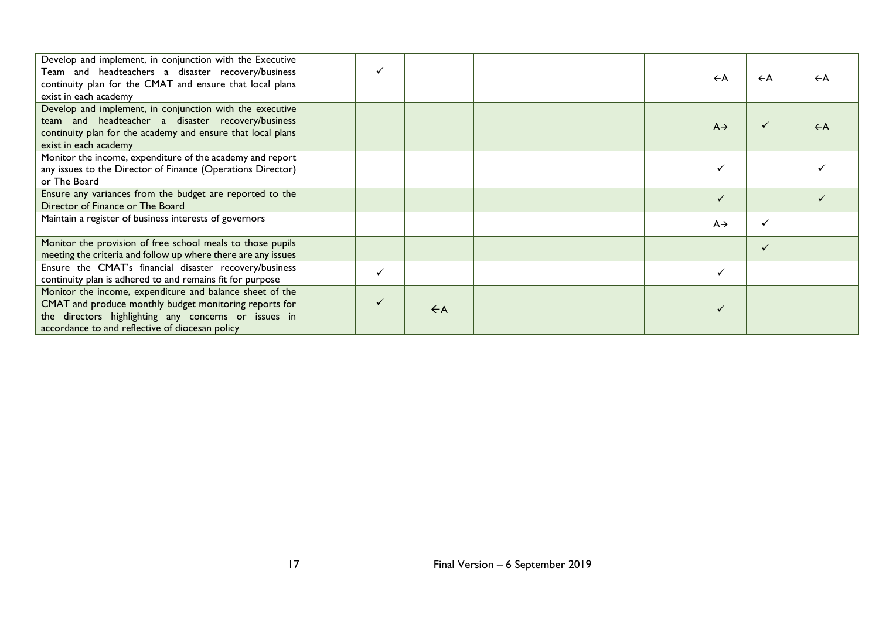| Develop and implement, in conjunction with the Executive<br>Team and headteachers a disaster recovery/business<br>continuity plan for the CMAT and ensure that local plans<br>exist in each academy                           |                |  | $\leftarrow$ A  | $\leftarrow$ A | $\leftarrow$ A |
|-------------------------------------------------------------------------------------------------------------------------------------------------------------------------------------------------------------------------------|----------------|--|-----------------|----------------|----------------|
| Develop and implement, in conjunction with the executive<br>team and headteacher a disaster recovery/business<br>continuity plan for the academy and ensure that local plans<br>exist in each academy                         |                |  | $A \rightarrow$ | ✓              | $\leftarrow$ A |
| Monitor the income, expenditure of the academy and report<br>any issues to the Director of Finance (Operations Director)<br>or The Board                                                                                      |                |  |                 |                |                |
| Ensure any variances from the budget are reported to the<br>Director of Finance or The Board                                                                                                                                  |                |  |                 |                |                |
| Maintain a register of business interests of governors                                                                                                                                                                        |                |  | $A \rightarrow$ | ✓              |                |
| Monitor the provision of free school meals to those pupils<br>meeting the criteria and follow up where there are any issues                                                                                                   |                |  |                 | ✓              |                |
| Ensure the CMAT's financial disaster recovery/business<br>continuity plan is adhered to and remains fit for purpose                                                                                                           |                |  | ✓               |                |                |
| Monitor the income, expenditure and balance sheet of the<br>CMAT and produce monthly budget monitoring reports for<br>the directors highlighting any concerns or issues in<br>accordance to and reflective of diocesan policy | $\leftarrow$ A |  |                 |                |                |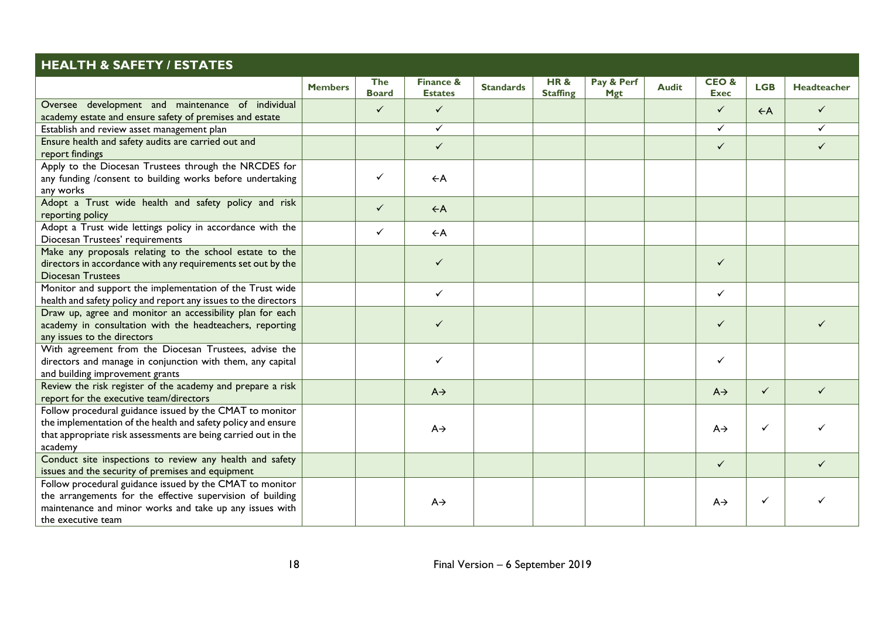| <b>HEALTH &amp; SAFETY / ESTATES</b>                                                                                                                                                                    |                |                            |                             |                  |                        |                          |              |                     |                |                    |
|---------------------------------------------------------------------------------------------------------------------------------------------------------------------------------------------------------|----------------|----------------------------|-----------------------------|------------------|------------------------|--------------------------|--------------|---------------------|----------------|--------------------|
|                                                                                                                                                                                                         | <b>Members</b> | <b>The</b><br><b>Board</b> | Finance &<br><b>Estates</b> | <b>Standards</b> | HR&<br><b>Staffing</b> | Pay & Perf<br><b>Mgt</b> | <b>Audit</b> | CEO&<br><b>Exec</b> | <b>LGB</b>     | <b>Headteacher</b> |
| Oversee development and maintenance of individual<br>academy estate and ensure safety of premises and estate                                                                                            |                | $\checkmark$               | $\checkmark$                |                  |                        |                          |              | $\checkmark$        | $\leftarrow$ A | $\checkmark$       |
| Establish and review asset management plan                                                                                                                                                              |                |                            | ✓                           |                  |                        |                          |              | $\checkmark$        |                | ✓                  |
| Ensure health and safety audits are carried out and<br>report findings                                                                                                                                  |                |                            | $\checkmark$                |                  |                        |                          |              | $\checkmark$        |                | ✓                  |
| Apply to the Diocesan Trustees through the NRCDES for<br>any funding /consent to building works before undertaking<br>any works                                                                         |                | $\checkmark$               | $\leftarrow$ A              |                  |                        |                          |              |                     |                |                    |
| Adopt a Trust wide health and safety policy and risk<br>reporting policy                                                                                                                                |                | $\checkmark$               | $\leftarrow$ A              |                  |                        |                          |              |                     |                |                    |
| Adopt a Trust wide lettings policy in accordance with the<br>Diocesan Trustees' requirements                                                                                                            |                | $\checkmark$               | $\leftarrow$ A              |                  |                        |                          |              |                     |                |                    |
| Make any proposals relating to the school estate to the<br>directors in accordance with any requirements set out by the<br><b>Diocesan Trustees</b>                                                     |                |                            | $\checkmark$                |                  |                        |                          |              | $\checkmark$        |                |                    |
| Monitor and support the implementation of the Trust wide<br>health and safety policy and report any issues to the directors                                                                             |                |                            | $\checkmark$                |                  |                        |                          |              | $\checkmark$        |                |                    |
| Draw up, agree and monitor an accessibility plan for each<br>academy in consultation with the headteachers, reporting<br>any issues to the directors                                                    |                |                            | $\checkmark$                |                  |                        |                          |              | $\checkmark$        |                |                    |
| With agreement from the Diocesan Trustees, advise the<br>directors and manage in conjunction with them, any capital<br>and building improvement grants                                                  |                |                            | ✓                           |                  |                        |                          |              | $\checkmark$        |                |                    |
| Review the risk register of the academy and prepare a risk<br>report for the executive team/directors                                                                                                   |                |                            | $A \rightarrow$             |                  |                        |                          |              | $A \rightarrow$     | $\checkmark$   | ✓                  |
| Follow procedural guidance issued by the CMAT to monitor<br>the implementation of the health and safety policy and ensure<br>that appropriate risk assessments are being carried out in the<br>academy  |                |                            | $A \rightarrow$             |                  |                        |                          |              | $A \rightarrow$     | ✓              |                    |
| Conduct site inspections to review any health and safety<br>issues and the security of premises and equipment                                                                                           |                |                            |                             |                  |                        |                          |              | $\checkmark$        |                |                    |
| Follow procedural guidance issued by the CMAT to monitor<br>the arrangements for the effective supervision of building<br>maintenance and minor works and take up any issues with<br>the executive team |                |                            | $A \rightarrow$             |                  |                        |                          |              | $A \rightarrow$     | $\checkmark$   |                    |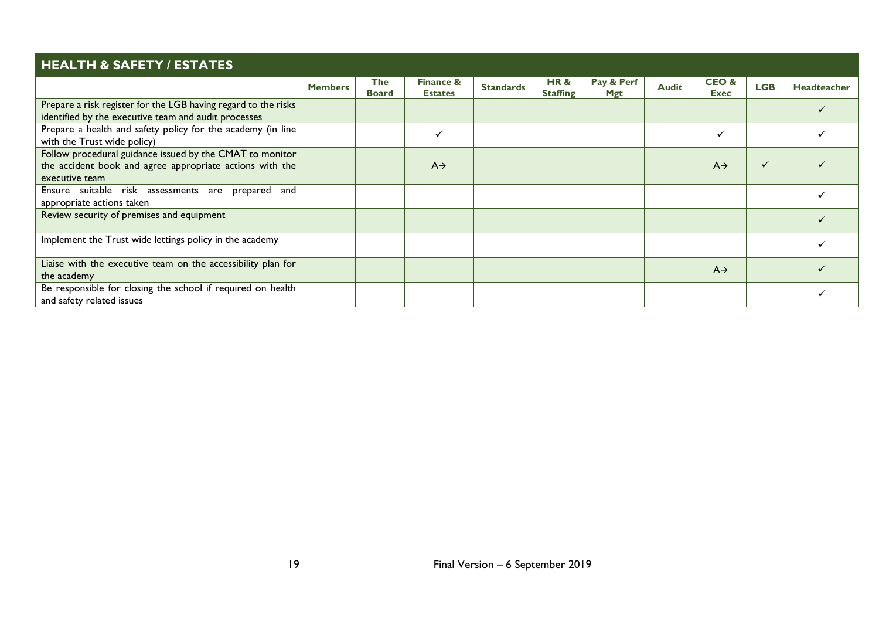| <b>HEALTH &amp; SAFETY / ESTATES</b>                                                                                                   |                |                            |                                        |                  |                        |                   |              |                     |              |                    |
|----------------------------------------------------------------------------------------------------------------------------------------|----------------|----------------------------|----------------------------------------|------------------|------------------------|-------------------|--------------|---------------------|--------------|--------------------|
|                                                                                                                                        | <b>Members</b> | <b>The</b><br><b>Board</b> | <b>Finance &amp;</b><br><b>Estates</b> | <b>Standards</b> | HR&<br><b>Staffing</b> | Pay & Perf<br>Mgt | <b>Audit</b> | CEO&<br><b>Exec</b> | <b>LGB</b>   | <b>Headteacher</b> |
| Prepare a risk register for the LGB having regard to the risks<br>identified by the executive team and audit processes                 |                |                            |                                        |                  |                        |                   |              |                     |              |                    |
| Prepare a health and safety policy for the academy (in line<br>with the Trust wide policy)                                             |                |                            | $\checkmark$                           |                  |                        |                   |              | $\checkmark$        |              |                    |
| Follow procedural guidance issued by the CMAT to monitor<br>the accident book and agree appropriate actions with the<br>executive team |                |                            | $A \rightarrow$                        |                  |                        |                   |              | $A \rightarrow$     | $\checkmark$ |                    |
| Ensure suitable risk assessments are prepared and<br>appropriate actions taken                                                         |                |                            |                                        |                  |                        |                   |              |                     |              |                    |
| Review security of premises and equipment                                                                                              |                |                            |                                        |                  |                        |                   |              |                     |              |                    |
| Implement the Trust wide lettings policy in the academy                                                                                |                |                            |                                        |                  |                        |                   |              |                     |              |                    |
| Liaise with the executive team on the accessibility plan for<br>the academy                                                            |                |                            |                                        |                  |                        |                   |              | $A\rightarrow$      |              |                    |
| Be responsible for closing the school if required on health<br>and safety related issues                                               |                |                            |                                        |                  |                        |                   |              |                     |              |                    |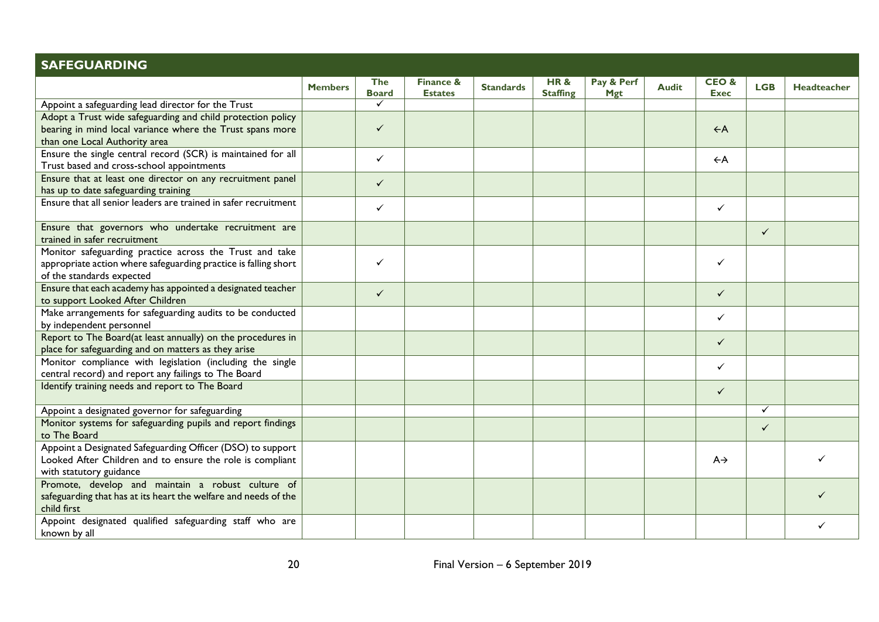| <b>SAFEGUARDING</b>                                                                                                                                       |                |                     |                                        |                  |                        |                          |              |                                |              |             |
|-----------------------------------------------------------------------------------------------------------------------------------------------------------|----------------|---------------------|----------------------------------------|------------------|------------------------|--------------------------|--------------|--------------------------------|--------------|-------------|
|                                                                                                                                                           | <b>Members</b> | The<br><b>Board</b> | <b>Finance &amp;</b><br><b>Estates</b> | <b>Standards</b> | HR&<br><b>Staffing</b> | Pay & Perf<br><b>Mgt</b> | <b>Audit</b> | <b>CEO&amp;</b><br><b>Exec</b> | <b>LGB</b>   | Headteacher |
| Appoint a safeguarding lead director for the Trust                                                                                                        |                | $\checkmark$        |                                        |                  |                        |                          |              |                                |              |             |
| Adopt a Trust wide safeguarding and child protection policy<br>bearing in mind local variance where the Trust spans more<br>than one Local Authority area |                | $\checkmark$        |                                        |                  |                        |                          |              | $\leftarrow$ A                 |              |             |
| Ensure the single central record (SCR) is maintained for all<br>Trust based and cross-school appointments                                                 |                | $\checkmark$        |                                        |                  |                        |                          |              | $\leftarrow$ A                 |              |             |
| Ensure that at least one director on any recruitment panel<br>has up to date safeguarding training                                                        |                | $\checkmark$        |                                        |                  |                        |                          |              |                                |              |             |
| Ensure that all senior leaders are trained in safer recruitment                                                                                           |                | $\checkmark$        |                                        |                  |                        |                          |              | $\checkmark$                   |              |             |
| Ensure that governors who undertake recruitment are<br>trained in safer recruitment                                                                       |                |                     |                                        |                  |                        |                          |              |                                | ✓            |             |
| Monitor safeguarding practice across the Trust and take<br>appropriate action where safeguarding practice is falling short<br>of the standards expected   |                | $\checkmark$        |                                        |                  |                        |                          |              | $\checkmark$                   |              |             |
| Ensure that each academy has appointed a designated teacher<br>to support Looked After Children                                                           |                | $\checkmark$        |                                        |                  |                        |                          |              | $\checkmark$                   |              |             |
| Make arrangements for safeguarding audits to be conducted<br>by independent personnel                                                                     |                |                     |                                        |                  |                        |                          |              | $\checkmark$                   |              |             |
| Report to The Board(at least annually) on the procedures in<br>place for safeguarding and on matters as they arise                                        |                |                     |                                        |                  |                        |                          |              | $\checkmark$                   |              |             |
| Monitor compliance with legislation (including the single<br>central record) and report any failings to The Board                                         |                |                     |                                        |                  |                        |                          |              | $\checkmark$                   |              |             |
| Identify training needs and report to The Board                                                                                                           |                |                     |                                        |                  |                        |                          |              | $\checkmark$                   |              |             |
| Appoint a designated governor for safeguarding                                                                                                            |                |                     |                                        |                  |                        |                          |              |                                | $\checkmark$ |             |
| Monitor systems for safeguarding pupils and report findings<br>to The Board                                                                               |                |                     |                                        |                  |                        |                          |              |                                | $\checkmark$ |             |
| Appoint a Designated Safeguarding Officer (DSO) to support<br>Looked After Children and to ensure the role is compliant<br>with statutory guidance        |                |                     |                                        |                  |                        |                          |              | $A \rightarrow$                |              |             |
| Promote, develop and maintain a robust culture of<br>safeguarding that has at its heart the welfare and needs of the<br>child first                       |                |                     |                                        |                  |                        |                          |              |                                |              |             |
| Appoint designated qualified safeguarding staff who are<br>known by all                                                                                   |                |                     |                                        |                  |                        |                          |              |                                |              |             |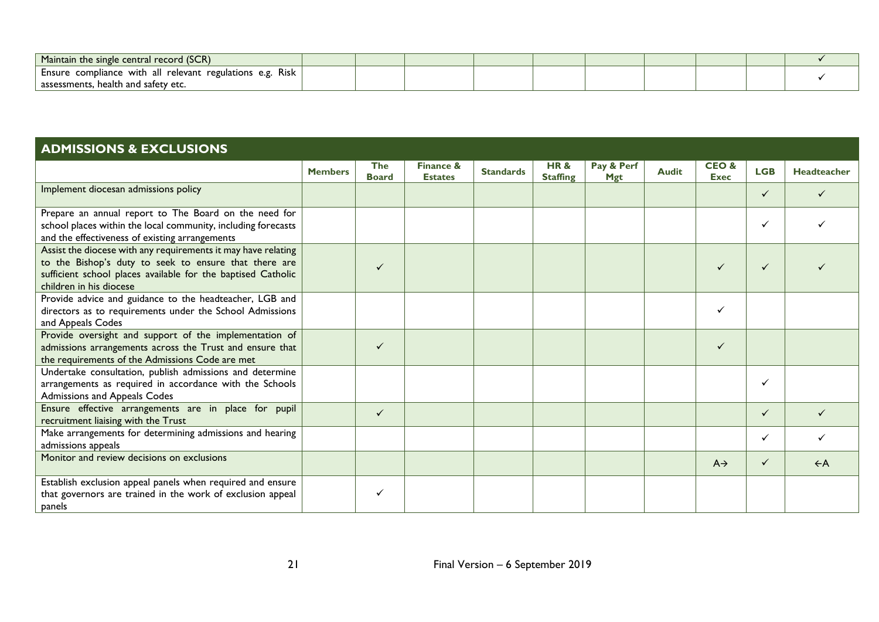| Maintain the single central record (SCR)                  |  |  |  |  |  |
|-----------------------------------------------------------|--|--|--|--|--|
| Ensure compliance with all relevant regulations e.g. Risk |  |  |  |  |  |
| assessments, health and safety etc.                       |  |  |  |  |  |

| <b>ADMISSIONS &amp; EXCLUSIONS</b>                                                                                                                                                                                |                |                            |                                        |                  |                                   |                          |              |                                |              |                |  |  |
|-------------------------------------------------------------------------------------------------------------------------------------------------------------------------------------------------------------------|----------------|----------------------------|----------------------------------------|------------------|-----------------------------------|--------------------------|--------------|--------------------------------|--------------|----------------|--|--|
|                                                                                                                                                                                                                   | <b>Members</b> | <b>The</b><br><b>Board</b> | <b>Finance &amp;</b><br><b>Estates</b> | <b>Standards</b> | <b>HR&amp;</b><br><b>Staffing</b> | Pay & Perf<br><b>Mgt</b> | <b>Audit</b> | <b>CEO&amp;</b><br><b>Exec</b> | <b>LGB</b>   | Headteacher    |  |  |
| Implement diocesan admissions policy                                                                                                                                                                              |                |                            |                                        |                  |                                   |                          |              |                                | ✓            |                |  |  |
| Prepare an annual report to The Board on the need for<br>school places within the local community, including forecasts<br>and the effectiveness of existing arrangements                                          |                |                            |                                        |                  |                                   |                          |              |                                | ✓            |                |  |  |
| Assist the diocese with any requirements it may have relating<br>to the Bishop's duty to seek to ensure that there are<br>sufficient school places available for the baptised Catholic<br>children in his diocese |                | $\checkmark$               |                                        |                  |                                   |                          |              | $\checkmark$                   | $\checkmark$ |                |  |  |
| Provide advice and guidance to the headteacher, LGB and<br>directors as to requirements under the School Admissions<br>and Appeals Codes                                                                          |                |                            |                                        |                  |                                   |                          |              | ✓                              |              |                |  |  |
| Provide oversight and support of the implementation of<br>admissions arrangements across the Trust and ensure that<br>the requirements of the Admissions Code are met                                             |                | $\checkmark$               |                                        |                  |                                   |                          |              | $\checkmark$                   |              |                |  |  |
| Undertake consultation, publish admissions and determine<br>arrangements as required in accordance with the Schools<br>Admissions and Appeals Codes                                                               |                |                            |                                        |                  |                                   |                          |              |                                | ✓            |                |  |  |
| Ensure effective arrangements are in place for pupil<br>recruitment liaising with the Trust                                                                                                                       |                | $\checkmark$               |                                        |                  |                                   |                          |              |                                | $\checkmark$ |                |  |  |
| Make arrangements for determining admissions and hearing<br>admissions appeals                                                                                                                                    |                |                            |                                        |                  |                                   |                          |              |                                | $\checkmark$ |                |  |  |
| Monitor and review decisions on exclusions                                                                                                                                                                        |                |                            |                                        |                  |                                   |                          |              | $A \rightarrow$                | $\checkmark$ | $\leftarrow$ A |  |  |
| Establish exclusion appeal panels when required and ensure<br>that governors are trained in the work of exclusion appeal<br>panels                                                                                |                | ✓                          |                                        |                  |                                   |                          |              |                                |              |                |  |  |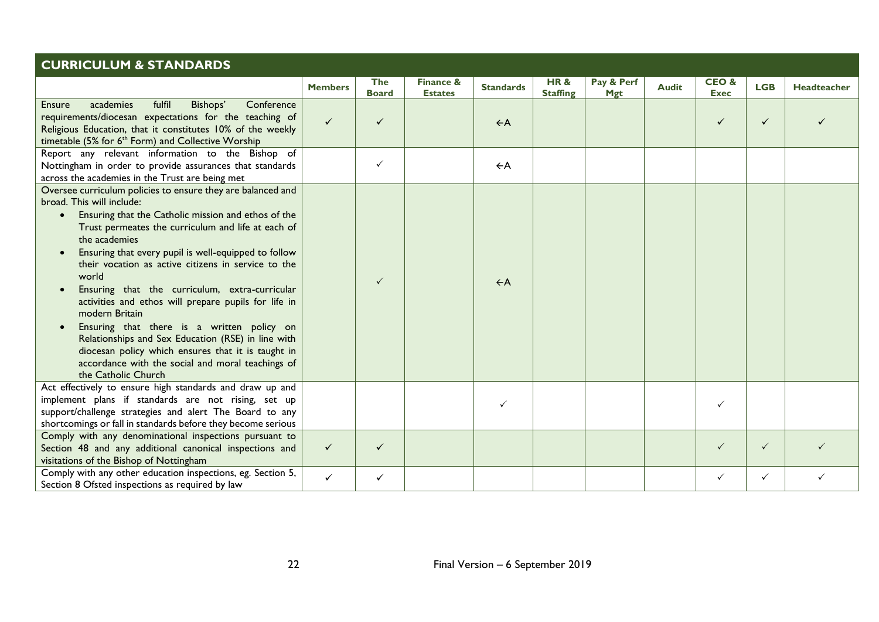| <b>CURRICULUM &amp; STANDARDS</b>                                                                                                                                                                                                                                                                                                                                                                                                                                                                                                                                                                                                                                                                                                          |                |                            |                                        |                  |                        |                          |              |                     |              |             |  |  |
|--------------------------------------------------------------------------------------------------------------------------------------------------------------------------------------------------------------------------------------------------------------------------------------------------------------------------------------------------------------------------------------------------------------------------------------------------------------------------------------------------------------------------------------------------------------------------------------------------------------------------------------------------------------------------------------------------------------------------------------------|----------------|----------------------------|----------------------------------------|------------------|------------------------|--------------------------|--------------|---------------------|--------------|-------------|--|--|
|                                                                                                                                                                                                                                                                                                                                                                                                                                                                                                                                                                                                                                                                                                                                            | <b>Members</b> | <b>The</b><br><b>Board</b> | <b>Finance &amp;</b><br><b>Estates</b> | <b>Standards</b> | HR&<br><b>Staffing</b> | Pay & Perf<br><b>Mgt</b> | <b>Audit</b> | CEO&<br><b>Exec</b> | <b>LGB</b>   | Headteacher |  |  |
| fulfil<br>academies<br>Conference<br>Ensure<br>Bishops'<br>requirements/diocesan expectations for the teaching of<br>Religious Education, that it constitutes 10% of the weekly<br>timetable (5% for 6 <sup>th</sup> Form) and Collective Worship                                                                                                                                                                                                                                                                                                                                                                                                                                                                                          | $\checkmark$   | $\checkmark$               |                                        | $\leftarrow$ A   |                        |                          |              | $\checkmark$        | $\checkmark$ |             |  |  |
| Report any relevant information to the Bishop of<br>Nottingham in order to provide assurances that standards<br>across the academies in the Trust are being met                                                                                                                                                                                                                                                                                                                                                                                                                                                                                                                                                                            |                | $\checkmark$               |                                        | $\leftarrow$ A   |                        |                          |              |                     |              |             |  |  |
| Oversee curriculum policies to ensure they are balanced and<br>broad. This will include:<br>Ensuring that the Catholic mission and ethos of the<br>$\bullet$<br>Trust permeates the curriculum and life at each of<br>the academies<br>Ensuring that every pupil is well-equipped to follow<br>their vocation as active citizens in service to the<br>world<br>Ensuring that the curriculum, extra-curricular<br>$\bullet$<br>activities and ethos will prepare pupils for life in<br>modern Britain<br>Ensuring that there is a written policy on<br>Relationships and Sex Education (RSE) in line with<br>diocesan policy which ensures that it is taught in<br>accordance with the social and moral teachings of<br>the Catholic Church |                | $\checkmark$               |                                        | $\leftarrow$ A   |                        |                          |              |                     |              |             |  |  |
| Act effectively to ensure high standards and draw up and<br>implement plans if standards are not rising, set up<br>support/challenge strategies and alert The Board to any<br>shortcomings or fall in standards before they become serious                                                                                                                                                                                                                                                                                                                                                                                                                                                                                                 |                |                            |                                        | ✓                |                        |                          |              | $\checkmark$        |              |             |  |  |
| Comply with any denominational inspections pursuant to<br>Section 48 and any additional canonical inspections and<br>visitations of the Bishop of Nottingham                                                                                                                                                                                                                                                                                                                                                                                                                                                                                                                                                                               | $\checkmark$   | $\checkmark$               |                                        |                  |                        |                          |              | $\checkmark$        | $\checkmark$ |             |  |  |
| Comply with any other education inspections, eg. Section 5,<br>Section 8 Ofsted inspections as required by law                                                                                                                                                                                                                                                                                                                                                                                                                                                                                                                                                                                                                             | $\checkmark$   | $\checkmark$               |                                        |                  |                        |                          |              | $\checkmark$        | $\checkmark$ | ✓           |  |  |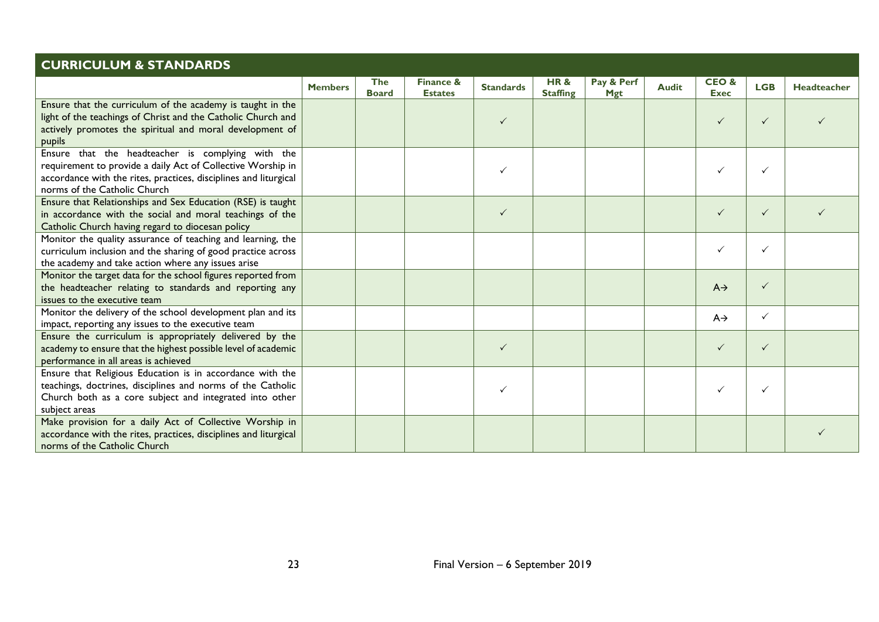| <b>CURRICULUM &amp; STANDARDS</b>                                                                                                                                                                                    |                |                            |                                        |                  |                                   |                          |              |                     |              |                    |
|----------------------------------------------------------------------------------------------------------------------------------------------------------------------------------------------------------------------|----------------|----------------------------|----------------------------------------|------------------|-----------------------------------|--------------------------|--------------|---------------------|--------------|--------------------|
|                                                                                                                                                                                                                      | <b>Members</b> | <b>The</b><br><b>Board</b> | <b>Finance &amp;</b><br><b>Estates</b> | <b>Standards</b> | <b>HR&amp;</b><br><b>Staffing</b> | Pay & Perf<br><b>Mgt</b> | <b>Audit</b> | CEO&<br><b>Exec</b> | <b>LGB</b>   | <b>Headteacher</b> |
| Ensure that the curriculum of the academy is taught in the<br>light of the teachings of Christ and the Catholic Church and<br>actively promotes the spiritual and moral development of<br>pupils                     |                |                            |                                        | $\checkmark$     |                                   |                          |              | $\checkmark$        | $\checkmark$ |                    |
| Ensure that the headteacher is complying with the<br>requirement to provide a daily Act of Collective Worship in<br>accordance with the rites, practices, disciplines and liturgical<br>norms of the Catholic Church |                |                            |                                        | $\checkmark$     |                                   |                          |              | $\checkmark$        | $\checkmark$ |                    |
| Ensure that Relationships and Sex Education (RSE) is taught<br>in accordance with the social and moral teachings of the<br>Catholic Church having regard to diocesan policy                                          |                |                            |                                        | $\checkmark$     |                                   |                          |              | $\checkmark$        | $\checkmark$ |                    |
| Monitor the quality assurance of teaching and learning, the<br>curriculum inclusion and the sharing of good practice across<br>the academy and take action where any issues arise                                    |                |                            |                                        |                  |                                   |                          |              | $\checkmark$        | $\checkmark$ |                    |
| Monitor the target data for the school figures reported from<br>the headteacher relating to standards and reporting any<br>issues to the executive team                                                              |                |                            |                                        |                  |                                   |                          |              | $A \rightarrow$     | $\checkmark$ |                    |
| Monitor the delivery of the school development plan and its<br>impact, reporting any issues to the executive team                                                                                                    |                |                            |                                        |                  |                                   |                          |              | $A \rightarrow$     | $\checkmark$ |                    |
| Ensure the curriculum is appropriately delivered by the<br>academy to ensure that the highest possible level of academic<br>performance in all areas is achieved                                                     |                |                            |                                        | $\checkmark$     |                                   |                          |              | $\checkmark$        | $\checkmark$ |                    |
| Ensure that Religious Education is in accordance with the<br>teachings, doctrines, disciplines and norms of the Catholic<br>Church both as a core subject and integrated into other<br>subject areas                 |                |                            |                                        | $\checkmark$     |                                   |                          |              | $\checkmark$        | $\checkmark$ |                    |
| Make provision for a daily Act of Collective Worship in<br>accordance with the rites, practices, disciplines and liturgical<br>norms of the Catholic Church                                                          |                |                            |                                        |                  |                                   |                          |              |                     |              |                    |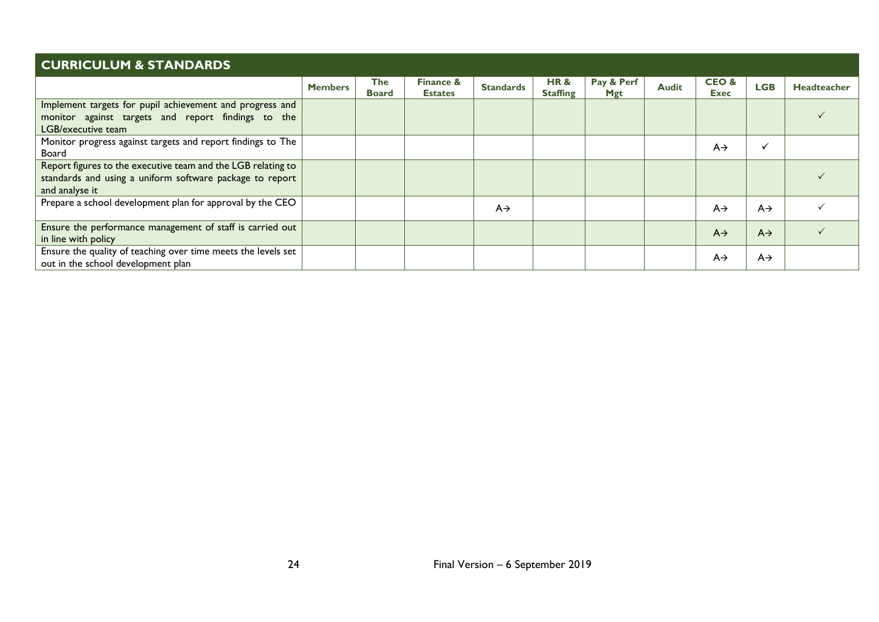| <b>CURRICULUM &amp; STANDARDS</b>                                                                                                          |                |                            |                                        |                  |                        |                          |              |                     |                 |                    |  |
|--------------------------------------------------------------------------------------------------------------------------------------------|----------------|----------------------------|----------------------------------------|------------------|------------------------|--------------------------|--------------|---------------------|-----------------|--------------------|--|
|                                                                                                                                            | <b>Members</b> | <b>The</b><br><b>Board</b> | <b>Finance &amp;</b><br><b>Estates</b> | <b>Standards</b> | HR&<br><b>Staffing</b> | Pay & Perf<br><b>Mgt</b> | <b>Audit</b> | CEO&<br><b>Exec</b> | <b>LGB</b>      | <b>Headteacher</b> |  |
| Implement targets for pupil achievement and progress and<br>monitor against targets and report findings to the<br>LGB/executive team       |                |                            |                                        |                  |                        |                          |              |                     |                 |                    |  |
| Monitor progress against targets and report findings to The<br>Board                                                                       |                |                            |                                        |                  |                        |                          |              | $A \rightarrow$     |                 |                    |  |
| Report figures to the executive team and the LGB relating to<br>standards and using a uniform software package to report<br>and analyse it |                |                            |                                        |                  |                        |                          |              |                     |                 |                    |  |
| Prepare a school development plan for approval by the CEO                                                                                  |                |                            |                                        | $A \rightarrow$  |                        |                          |              | $A \rightarrow$     | $A \rightarrow$ |                    |  |
| Ensure the performance management of staff is carried out<br>in line with policy                                                           |                |                            |                                        |                  |                        |                          |              | $A \rightarrow$     | $A \rightarrow$ |                    |  |
| Ensure the quality of teaching over time meets the levels set<br>out in the school development plan                                        |                |                            |                                        |                  |                        |                          |              | $A \rightarrow$     | $A\rightarrow$  |                    |  |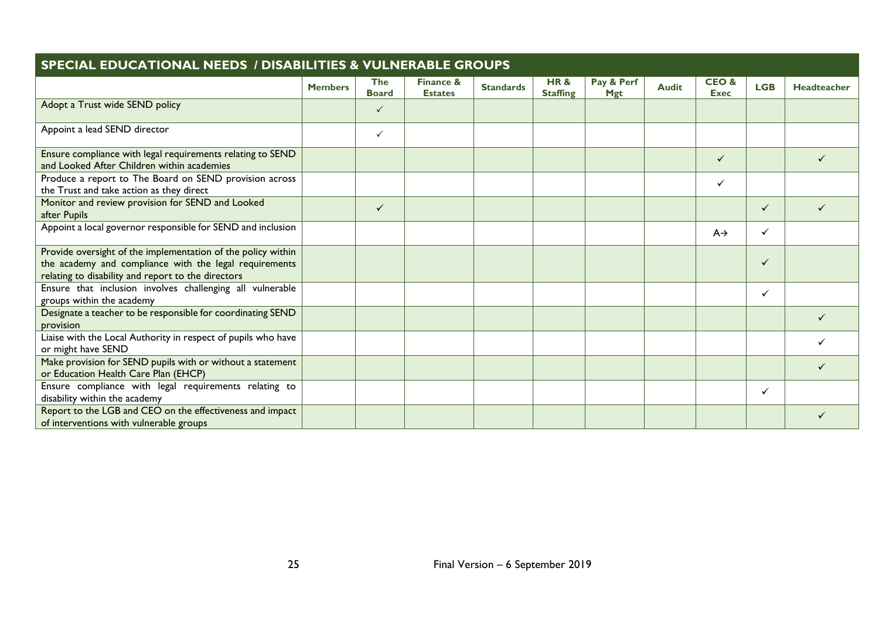| <b>SPECIAL EDUCATIONAL NEEDS / DISABILITIES &amp; VULNERABLE GROUPS</b>                                                                                                      |                |                            |                                        |                  |                        |                          |              |                                |              |             |  |  |
|------------------------------------------------------------------------------------------------------------------------------------------------------------------------------|----------------|----------------------------|----------------------------------------|------------------|------------------------|--------------------------|--------------|--------------------------------|--------------|-------------|--|--|
|                                                                                                                                                                              | <b>Members</b> | <b>The</b><br><b>Board</b> | <b>Finance &amp;</b><br><b>Estates</b> | <b>Standards</b> | HR&<br><b>Staffing</b> | Pay & Perf<br><b>Mgt</b> | <b>Audit</b> | <b>CEO&amp;</b><br><b>Exec</b> | <b>LGB</b>   | Headteacher |  |  |
| Adopt a Trust wide SEND policy                                                                                                                                               |                | $\checkmark$               |                                        |                  |                        |                          |              |                                |              |             |  |  |
| Appoint a lead SEND director                                                                                                                                                 |                | $\checkmark$               |                                        |                  |                        |                          |              |                                |              |             |  |  |
| Ensure compliance with legal requirements relating to SEND<br>and Looked After Children within academies                                                                     |                |                            |                                        |                  |                        |                          |              | $\checkmark$                   |              | ✓           |  |  |
| Produce a report to The Board on SEND provision across<br>the Trust and take action as they direct                                                                           |                |                            |                                        |                  |                        |                          |              | $\checkmark$                   |              |             |  |  |
| Monitor and review provision for SEND and Looked<br>after Pupils                                                                                                             |                | $\checkmark$               |                                        |                  |                        |                          |              |                                | $\checkmark$ |             |  |  |
| Appoint a local governor responsible for SEND and inclusion                                                                                                                  |                |                            |                                        |                  |                        |                          |              | $A \rightarrow$                | $\checkmark$ |             |  |  |
| Provide oversight of the implementation of the policy within<br>the academy and compliance with the legal requirements<br>relating to disability and report to the directors |                |                            |                                        |                  |                        |                          |              |                                | ✓            |             |  |  |
| Ensure that inclusion involves challenging all vulnerable<br>groups within the academy                                                                                       |                |                            |                                        |                  |                        |                          |              |                                | $\checkmark$ |             |  |  |
| Designate a teacher to be responsible for coordinating SEND<br>provision                                                                                                     |                |                            |                                        |                  |                        |                          |              |                                |              |             |  |  |
| Liaise with the Local Authority in respect of pupils who have<br>or might have SEND                                                                                          |                |                            |                                        |                  |                        |                          |              |                                |              |             |  |  |
| Make provision for SEND pupils with or without a statement<br>or Education Health Care Plan (EHCP)                                                                           |                |                            |                                        |                  |                        |                          |              |                                |              |             |  |  |
| Ensure compliance with legal requirements relating to<br>disability within the academy                                                                                       |                |                            |                                        |                  |                        |                          |              |                                | ✓            |             |  |  |
| Report to the LGB and CEO on the effectiveness and impact<br>of interventions with vulnerable groups                                                                         |                |                            |                                        |                  |                        |                          |              |                                |              |             |  |  |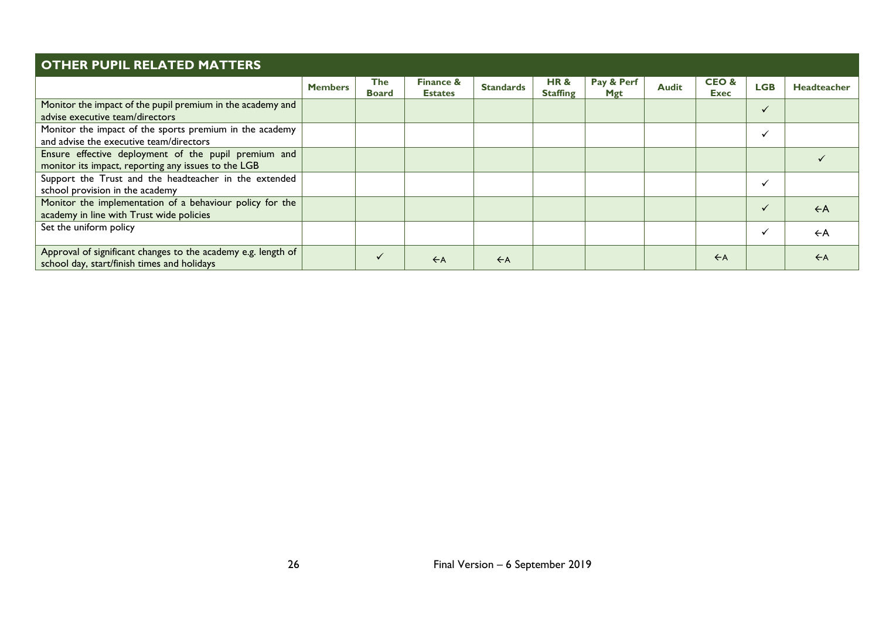| <b>OTHER PUPIL RELATED MATTERS</b>                                                                           |                |                     |                                        |                  |                                   |                          |              |                                |              |                    |  |
|--------------------------------------------------------------------------------------------------------------|----------------|---------------------|----------------------------------------|------------------|-----------------------------------|--------------------------|--------------|--------------------------------|--------------|--------------------|--|
|                                                                                                              | <b>Members</b> | The<br><b>Board</b> | <b>Finance &amp;</b><br><b>Estates</b> | <b>Standards</b> | <b>HR&amp;</b><br><b>Staffing</b> | Pay & Perf<br><b>Mgt</b> | <b>Audit</b> | <b>CEO&amp;</b><br><b>Exec</b> | <b>LGB</b>   | <b>Headteacher</b> |  |
| Monitor the impact of the pupil premium in the academy and<br>advise executive team/directors                |                |                     |                                        |                  |                                   |                          |              |                                | $\checkmark$ |                    |  |
| Monitor the impact of the sports premium in the academy<br>and advise the executive team/directors           |                |                     |                                        |                  |                                   |                          |              |                                |              |                    |  |
| Ensure effective deployment of the pupil premium and<br>monitor its impact, reporting any issues to the LGB  |                |                     |                                        |                  |                                   |                          |              |                                |              |                    |  |
| Support the Trust and the headteacher in the extended<br>school provision in the academy                     |                |                     |                                        |                  |                                   |                          |              |                                | $\checkmark$ |                    |  |
| Monitor the implementation of a behaviour policy for the<br>academy in line with Trust wide policies         |                |                     |                                        |                  |                                   |                          |              |                                | $\checkmark$ | $\leftarrow$ A     |  |
| Set the uniform policy                                                                                       |                |                     |                                        |                  |                                   |                          |              |                                | $\checkmark$ | $\leftarrow$ A     |  |
| Approval of significant changes to the academy e.g. length of<br>school day, start/finish times and holidays |                |                     | $\leftarrow$ A                         | $\leftarrow$ A   |                                   |                          |              | $\leftarrow$ A                 |              | $\leftarrow$ A     |  |